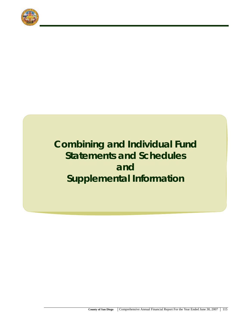

# **Combining and Individual Fund Statements and Schedules and Supplemental Information**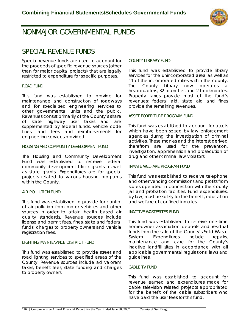

## **NONMAJOR GOVERNMENTAL FUNDS**

## **SPECIAL REVENUE FUNDS**

Special revenue funds are used to account for the proceeds of specific revenue sources (other than for major capital projects) that are legally restricted to expenditure for specific purposes.

## **ROAD FUND**

This fund was established to provide for maintenance and construction of roadways and for specialized engineering services to other governmental units and the public. Revenues consist primarily of the County's share of state highway user taxes and are supplemented by federal funds, vehicle code fines, and fees and reimbursements for engineering services provided.

## **HOUSING AND COMMUNITY DEVELOPMENT FUND**

The Housing and Community Development Fund was established to receive federal community development block grants as well as state grants. Expenditures are for special projects related to various housing programs within the County.

## **AIR POLLUTION FUND**

This fund was established to provide for control of air pollution from motor vehicles and other sources in order to attain health based air quality standards. Revenue sources include license and permit fees, fines, state and federal funds, charges to property owners and vehicle registration fees.

## **LIGHTING MAINTENANCE DISTRICT FUND**

This fund was established to provide street and road lighting services to specified areas of the County. Revenue sources include ad valorem taxes, benefit fees, state funding and charges to property owners.

## **COUNTY LIBRARY FUND**

This fund was established to provide library services for the unincorporated area as well as 11 of the incorporated cities within the county. The County Library now operates a headquarters, 32 branches and 2 bookmobiles. Property taxes provide most of the fund's revenues; federal aid, state aid and fines provide the remaining revenues.

## **ASSET FORFEITURE PROGRAM FUND**

This fund was established to account for assets which have been seized by law enforcement agencies during the investigation of criminal activities. These monies and the interest derived therefrom are used for the prevention, investigation, apprehension and prosecution of drug and other criminal law violators.

## **INMATE WELFARE PROGRAM FUND**

This fund was established to receive telephone and other vending commissions and profits from stores operated in connection with the county jail and probation facilities. Fund expenditures, by law, must be solely for the benefit, education and welfare of confined inmates.

## **INACTIVE WASTESITES FUND**

This fund was established to receive one-time homeowner association deposits and residual funds from the sale of the County's Solid Waste System. Expenditures include repairs, maintenance and care for the County's inactive landfill sites in accordance with all applicable governmental regulations, laws and guidelines.

## **CABLE TV FUND**

This fund was established to account for revenue earned and expenditures made for cable television related projects appropriated for the benefit of the cable subscribers who have paid the user fees for this fund.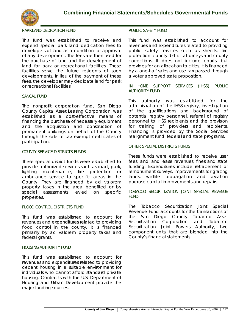

## **PARKLAND DEDICATION FUND**

This fund was established to receive and expend special park land dedication fees to developers of land as a condition for approval of any development. The fees are then used for the purchase of land and the development of land for park or recreational facilities. These facilities serve the future residents of such developments. In lieu of the payment of these fees, the developer may dedicate land for park or recreational facilities.

## **SANCAL FUND**

The nonprofit corporation fund, San Diego County Capital Asset Leasing Corporation, was established as a cost-effective means of financing the purchase of necessary equipment and the acquisition and construction of permanent buildings on behalf of the County through the sale of tax exempt certificates of participation.

### **COUNTY SERVICE DISTRICTS FUNDS**

These special district funds were established to provide authorized services such as road, park, lighting maintenance, fire protection or ambulance service to specific areas in the County. They are financed by ad valorem property taxes in the area benefited or by special assessments levied on specific properties.

## **FLOOD CONTROL DISTRICTS FUND**

This fund was established to account for revenues and expenditures related to providing flood control in the county. It is financed primarily by ad valorem property taxes and federal grants.

## **HOUSING AUTHORITY FUND**

This fund was established to account for revenues and expenditures related to providing decent housing in a suitable environment for individuals who cannot afford standard private housing. Contracts with the U.S. Department of Housing and Urban Development provide the major funding sources.

### **PUBLIC SAFETY FUND**

This fund was established to account for revenues and expenditures related to providing public safety services such as sheriffs, fire protection, county district attorneys and county corrections. It does not include courts, but provides for an allocation to cities. It is financed by a one-half sales and use tax passed through a voter approved state proposition.

## **IN HOME SUPPORT SERVICES (IHSS) PUBLIC AUTHORITY FUND**

This authority was established for the administration of the IHSS registry, investigation of the qualifications and background of potential registry personnel, referral of registry personnel to IHSS recipients and the provision for training of providers and recipients. Financing is provided by the Social Services realignment fund, federal and state programs.

## **OTHER SPECIAL DISTRICTS FUNDS**

These funds were established to receive user fees, and land lease revenues, fines and state funding. Expenditures include retracement or remonument surveys, improvements for grazing lands, wildlife propagation and aviation purpose capital improvements and repairs.

## **TOBACCO SECURITIZATION JOINT SPECIAL REVENUE FUND**

The Tobacco Securitization Joint Special Revenue Fund accounts for the transactions of the San Diego County Tobacco Asset Securitization Corporation and Tobacco Securitization Joint Powers Authority, two component units, that are blended into the County's financial statements.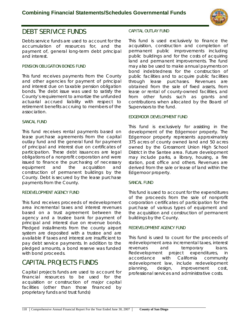

## **DEBT SERIVICE FUNDS**

Debts service funds are used to account for the accumulation of resources for, and the payment of, general long-term debt principal and interest.

## **PENSION OBLIGATION BONDS FUND**

This fund receives payments from the County and other agencies for payment of principal and interest due on taxable pension obligation bonds. The debt issue was used to satisfy the County's requirement to amortize the unfunded actuarial accrued liability with respect to retirement benefits accruing to members of the association.

## **SANCAL FUND**

This fund receives rental payments based on lease purchase agreements from the capital outlay fund and the general fund for payment of principal and interest due on certificates of participation. These debt issuances are legal obligations of a nonprofit corporation and were issued to finance the purchasing of necessary equipment and the acquisition and construction of permanent buildings by the County. Debt is secured by the lease purchase payments from the County.

## **REDEVELOPMENT AGENCY FUND**

This fund receives proceeds of redevelopment area incremental taxes and interest revenues based on a trust agreement between the agency and a trustee bank for payment of principal and interest due on revenue bonds. Pledged installments from the county airport system are deposited with a trustee and are available if taxes and interest are insufficient to pay debt service payments. In addition to the pledged amounts, a bond reserve was funded with bond proceeds.

## **CAPITAL PROJECTS FUNDS**

Capital projects funds are used to account for financial resources to be used for the acquisition or construction of major capital facilities (other than those financed by proprietary funds and trust funds)

## **CAPITAL OUTLAY FUND**

This fund is used exclusively to finance the acquisition, construction and completion of permanent public improvements including public buildings and for the costs of acquiring land and permanent improvements. The fund may also be used to make annual payments on bond indebtedness for the construction of public facilities and to acquire public facilities through lease purchases. Revenues are obtained from the sale of fixed assets, from lease or rental of county-owned facilities, and from other funds such as grants and contributions when allocated by the Board of Supervisors to the fund.

## **EDGEMOOR DEVELOPMENT FUND**

This fund is exclusively for assisting in the development of the Edgemoor property. The Edgemoor property represents approximately 375 acres of county owned land and 50 acres owned by the Grossmont Union High School District in the Santee area. Future development may include parks, a library, housing, a fire station, post office and others. Revenues are derived from the sale or lease of land within the Edgemoor property.

## **SANCAL FUND**

This fund is used to account for the expenditures of the proceeds from the sale of nonprofit corporation certificates of participation for the purchase of various types of equipment and the acquisition and construction of permanent buildings by the County.

## **REDEVELOPMENT AGENCY FUND**

This fund is used to count for the proceeds of redevelopment area incremental taxes, interest revenues and temporary loans. Redevelopment project expenditures, in accordance with California community redevelopment law, include redevelopment planning, design, improvement cost, professional services and administrative costs.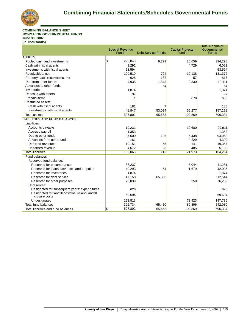

#### **COMBINING BALANCE SHEET NONMAJOR GOVERNMENTAL FUNDS June 30, 2007 (In Thousands)**

|                                                                   | <b>Special Revenue</b><br><b>Funds</b> | <b>Debt Service Funds</b> | <b>Capital Projects</b><br><b>Funds</b> | <b>Total Nonmajor</b><br>Governmental<br><b>Funds</b> |
|-------------------------------------------------------------------|----------------------------------------|---------------------------|-----------------------------------------|-------------------------------------------------------|
| <b>ASSETS</b>                                                     |                                        |                           |                                         |                                                       |
| Pooled cash and investments                                       | $\overline{\mathbf{S}}$<br>295,840     | 9,799                     | 28,659                                  | 334,298                                               |
| Cash with fiscal agents                                           | 1,292                                  |                           | 4,729                                   | 6,021                                                 |
| Investments with fiscal agents                                    | 53,594                                 |                           |                                         | 53,594                                                |
| Receivables, net                                                  | 120,510                                | 724                       | 10,138                                  | 131,372                                               |
| Property taxes receivables, net                                   | 628                                    | 132                       | 57                                      | 817                                                   |
| Due from other funds                                              | 4,938                                  | 1,843                     | 3,330                                   | 10.111                                                |
| Advances to other funds                                           |                                        | 64                        |                                         | 64                                                    |
| Inventories                                                       | 1,874                                  |                           |                                         | 1,874                                                 |
| Deposits with others                                              | 97                                     |                           |                                         | 97                                                    |
| Prepaid items                                                     |                                        |                           | 679                                     | 680                                                   |
| Restricted assets:                                                |                                        |                           |                                         |                                                       |
| Cash with fiscal agents                                           | 181                                    |                           |                                         | 188                                                   |
| Investments with fiscal agents                                    | 48,847                                 | 53,094                    | 55,277                                  | 157,218                                               |
| <b>Total assets</b>                                               | 527,802                                | 65,663                    | 102,869                                 | 696,334                                               |
| <b>LIABILITIES AND FUND BALANCES</b>                              |                                        |                           |                                         |                                                       |
| Liabilities:                                                      |                                        |                           |                                         |                                                       |
| Accounts payable                                                  | 19,231                                 |                           | 10,680                                  | 29,911                                                |
| Accrued payroll                                                   | 1,353                                  |                           |                                         | 1,353                                                 |
| Due to other funds                                                | 87,500                                 | 125                       | 6,438                                   | 94,063                                                |
| Advances from other funds                                         | 161                                    |                           | 4,229                                   | 4,390                                                 |
| Deferred revenues                                                 | 19,151                                 | 65                        | 141                                     | 19,357                                                |
| Unearned revenue                                                  | 4,672                                  | 23                        | 485                                     | 5,180                                                 |
| <b>Total liabilities</b>                                          | 132,068                                | 213                       | 21,973                                  | 154,254                                               |
| Fund balances                                                     |                                        |                           |                                         |                                                       |
| Reserved fund balance:                                            |                                        |                           |                                         |                                                       |
| Reserved for encumbrances                                         | 36,237                                 |                           | 5,044                                   | 41,281                                                |
| Reserved for loans, advances and prepaids                         | 40,293                                 | 64                        | 1,679                                   | 42,036                                                |
| Reserved for inventories                                          | 1,874                                  |                           |                                         | 1,874                                                 |
| Reserved for debt service                                         | 47,158                                 | 65,386                    |                                         | 112,544                                               |
| Reserved for other purposes                                       | 76,039                                 |                           | 250                                     | 76,289                                                |
| Unreserved:                                                       |                                        |                           |                                         |                                                       |
| Designated for subsequent years' expenditures                     | 626                                    |                           |                                         | 626                                                   |
| Designated for landfill postclosure and landfill<br>closure costs | 69,694                                 |                           |                                         | 69,694                                                |
| Undesignated                                                      | 123,813                                |                           | 73,923                                  | 197,736                                               |
| Total fund balances                                               | 395,734                                | 65,450                    | 80,896                                  | 542,080                                               |
| Total liabilities and fund balances                               | $\overline{\mathbb{S}}$<br>527,802     | 65,663                    | 102,869                                 | 696,334                                               |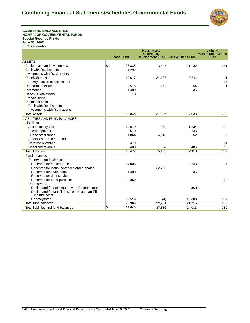

**COMBINING BALANCE SHEET NONMAJOR GOVERNMENTAL FUNDS Special Revenue Funds June 30, 2007 (In Thousands)**

|                                                  | Housing and<br>Lighting |                                      |                           |                                     |
|--------------------------------------------------|-------------------------|--------------------------------------|---------------------------|-------------------------------------|
|                                                  | <b>Road Fund</b>        | Community<br><b>Development Fund</b> | <b>Air Pollution Fund</b> | <b>Maintenance District</b><br>Fund |
| <b>ASSETS</b>                                    |                         |                                      |                           |                                     |
| Pooled cash and investments                      | \$<br>97,838            | 3,507                                | 21,132                    | 761                                 |
| Cash with fiscal agents                          | 1,292                   |                                      |                           |                                     |
| Investments with fiscal agents                   |                         |                                      |                           |                                     |
| Receivables, net                                 | 10,647                  | 34,127                               | 2,711                     | 11                                  |
| Property taxes receivables, net                  |                         |                                      |                           | 16                                  |
| Due from other funds                             | 2,576                   | 252                                  | 54                        | 1                                   |
| Inventories                                      | 1,480                   |                                      | 136                       |                                     |
| Deposits with others                             | 13                      |                                      |                           |                                     |
| Prepaid items                                    |                         |                                      |                           |                                     |
| <b>Restricted assets:</b>                        |                         |                                      |                           |                                     |
| Cash with fiscal agents                          |                         |                                      |                           |                                     |
| Investments with fiscal agents                   |                         |                                      |                           |                                     |
| <b>Total assets</b>                              | 113,846                 | 37,886                               | 24,033                    | 789                                 |
| <b>LIABILITIES AND FUND BALANCES</b>             |                         |                                      |                           |                                     |
| Liabilities:                                     |                         |                                      |                           |                                     |
| Accounts payable                                 | 12,070                  | 868                                  | 1,234                     | 94                                  |
| Accrued payroll                                  | 670                     |                                      | 246                       |                                     |
| Due to other funds                               | 1,864                   | 4,313                                | 152                       | 35                                  |
| Advances from other funds                        |                         |                                      |                           |                                     |
| Deferred revenues                                | 470                     |                                      |                           | 14                                  |
| Unearned revenue                                 | 403                     |                                      | 486                       | 16                                  |
| <b>Total liabilities</b>                         | 15,477                  | 5,185                                | 2,118                     | 159                                 |
| Fund balances                                    |                         |                                      |                           |                                     |
| Reserved fund balance:                           |                         |                                      |                           |                                     |
| Reserved for encumbrances                        | 24,008                  |                                      | 8,243                     | 5                                   |
| Reserved for loans, advances and prepaids        |                         | 32,705                               |                           |                                     |
| Reserved for inventories                         | 1,480                   |                                      | 136                       |                                     |
| Reserved for debt service                        |                         |                                      |                           |                                     |
| Reserved for other purposes                      | 55,362                  |                                      |                           | 16                                  |
| Unreserved:                                      |                         |                                      |                           |                                     |
| Designated for subsequent years' expenditures    |                         |                                      | 450                       |                                     |
| Designated for landfill postclosure and landfill |                         |                                      |                           |                                     |
| closure costs                                    |                         |                                      |                           |                                     |
| Undesignated                                     | 17,519                  | (4)                                  | 13,086                    | 609                                 |
| <b>Total fund balances</b>                       | 98,369                  | 32,701                               | 21,915                    | 630                                 |
| Total liabilities and fund balances              | \$<br>113,846           | 37,886                               | 24,033                    | 789                                 |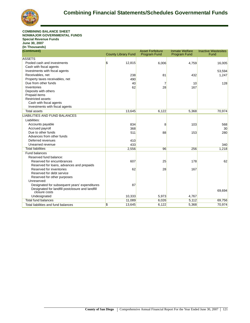

#### **COMBINING BALANCE SHEET NONMAJOR GOVERNMENTAL FUNDS Special Revenue Funds June 30, 2007 (In Thousands)**

| (Continued)                                      |                                     | <b>Asset Forfeiture</b> | <b>Inmate Welfare</b> | <b>Inactive Wastesites</b> |
|--------------------------------------------------|-------------------------------------|-------------------------|-----------------------|----------------------------|
|                                                  | <b>County Library Fund</b>          | <b>Program Fund</b>     | <b>Program Fund</b>   | Fund                       |
| <b>ASSETS</b>                                    |                                     |                         |                       |                            |
| Pooled cash and investments                      | $\boldsymbol{\mathsf{s}}$<br>12,815 | 6,006                   | 4,759                 | 16,005                     |
| Cash with fiscal agents                          |                                     |                         |                       |                            |
| Investments with fiscal agents                   |                                     |                         |                       | 53,594                     |
| Receivables, net                                 | 238                                 | 81                      | 432                   | 1,247                      |
| Property taxes receivables, net                  | 490                                 |                         |                       |                            |
| Due from other funds                             | 40                                  | 7                       | 10                    | 128                        |
| Inventories                                      | 62                                  | 28                      | 167                   |                            |
| Deposits with others                             |                                     |                         |                       |                            |
| Prepaid items                                    |                                     |                         |                       |                            |
| Restricted assets:                               |                                     |                         |                       |                            |
| Cash with fiscal agents                          |                                     |                         |                       |                            |
| Investments with fiscal agents                   |                                     |                         |                       |                            |
| <b>Total assets</b>                              | 13,645                              | 6,122                   | 5,368                 | 70,974                     |
| <b>LIABILITIES AND FUND BALANCES</b>             |                                     |                         |                       |                            |
| Liabilities:                                     |                                     |                         |                       |                            |
| Accounts payable                                 | 834                                 | 8                       | 103                   | 568                        |
| Accrued payroll                                  | 368                                 |                         |                       | 30                         |
| Due to other funds                               | 511                                 | 88                      | 153                   | 280                        |
| Advances from other funds                        |                                     |                         |                       |                            |
| Deferred revenues                                | 410                                 |                         |                       |                            |
| Unearned revenue                                 | 433                                 |                         |                       | 340                        |
| <b>Total liabilities</b>                         | 2,556                               | 96                      | 256                   | 1,218                      |
| <b>Fund balances</b>                             |                                     |                         |                       |                            |
| Reserved fund balance:                           |                                     |                         |                       |                            |
| Reserved for encumbrances                        | 607                                 | 25                      | 178                   | 62                         |
| Reserved for loans, advances and prepaids        |                                     |                         |                       |                            |
| Reserved for inventories                         | 62                                  | 28                      | 167                   |                            |
| Reserved for debt service                        |                                     |                         |                       |                            |
| Reserved for other purposes                      |                                     |                         |                       |                            |
| Unreserved:                                      |                                     |                         |                       |                            |
| Designated for subsequent years' expenditures    | 87                                  |                         |                       |                            |
| Designated for landfill postclosure and landfill |                                     |                         |                       | 69,694                     |
| closure costs                                    |                                     |                         |                       |                            |
| Undesignated                                     | 10,333                              | 5,973                   | 4,767                 |                            |
| <b>Total fund balances</b>                       | 11,089                              | 6,026                   | 5,112                 | 69,756                     |
| Total liabilities and fund balances              | \$<br>13,645                        | 6,122                   | 5,368                 | 70,974                     |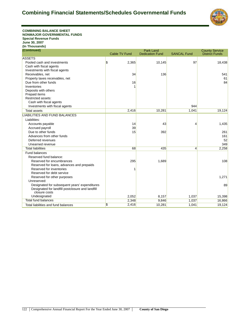

**COMBINING BALANCE SHEET NONMAJOR GOVERNMENTAL FUNDS Special Revenue Funds June 30, 2007 (In Thousands) (Continued)**

| (Continued)                                                       | <b>Cable TV Fund</b> | <b>Park Land</b><br><b>Dedication Fund</b> | <b>SANCAL Fund</b> | <b>County Service</b><br><b>District Funds</b> |
|-------------------------------------------------------------------|----------------------|--------------------------------------------|--------------------|------------------------------------------------|
| <b>ASSETS</b>                                                     |                      |                                            |                    |                                                |
| Pooled cash and investments                                       | \$<br>2,365          |                                            | 97                 |                                                |
| Cash with fiscal agents                                           |                      | 10,145                                     |                    | 18,438                                         |
| Investments with fiscal agents                                    |                      |                                            |                    |                                                |
| Receivables, net                                                  | 34                   | 136                                        |                    | 541                                            |
| Property taxes receivables, net                                   |                      |                                            |                    | 61                                             |
| Due from other funds                                              | 16                   |                                            |                    | 84                                             |
| Inventories                                                       |                      |                                            |                    |                                                |
| Deposits with others                                              |                      |                                            |                    |                                                |
| Prepaid items                                                     |                      |                                            |                    |                                                |
| <b>Restricted assets:</b>                                         |                      |                                            |                    |                                                |
| Cash with fiscal agents                                           |                      |                                            |                    |                                                |
| Investments with fiscal agents                                    |                      |                                            | 944                |                                                |
| <b>Total assets</b>                                               | 2,416                | 10,281                                     | 1,041              | 19,124                                         |
| <b>LIABILITIES AND FUND BALANCES</b>                              |                      |                                            |                    |                                                |
| Liabilities:                                                      |                      |                                            |                    |                                                |
| Accounts payable                                                  | 14                   | 43                                         | 4                  | 1,435                                          |
| Accrued payroll                                                   | 39                   |                                            |                    |                                                |
| Due to other funds                                                | 15                   | 392                                        |                    | 261                                            |
| Advances from other funds                                         |                      |                                            |                    | 161                                            |
| Deferred revenues                                                 |                      |                                            |                    | 52                                             |
| Unearned revenue                                                  |                      |                                            |                    | 349                                            |
| <b>Total liabilities</b>                                          | 68                   | 435                                        | $\overline{4}$     | 2,258                                          |
| Fund balances                                                     |                      |                                            |                    |                                                |
| Reserved fund balance:                                            |                      |                                            |                    |                                                |
| Reserved for encumbrances                                         | 295                  | 1,689                                      |                    | 108                                            |
| Reserved for loans, advances and prepaids                         |                      |                                            |                    |                                                |
| Reserved for inventories                                          |                      |                                            |                    |                                                |
| Reserved for debt service                                         |                      |                                            |                    |                                                |
| Reserved for other purposes                                       |                      |                                            |                    | 1,271                                          |
| Unreserved:                                                       |                      |                                            |                    |                                                |
| Designated for subsequent years' expenditures                     |                      |                                            |                    | 89                                             |
| Designated for landfill postclosure and landfill<br>closure costs |                      |                                            |                    |                                                |
| Undesignated                                                      | 2,052                | 8,157                                      | 1,037              | 15,398                                         |
| <b>Total fund balances</b>                                        | 2,348                | 9,846                                      | 1,037              | 16,866                                         |
| Total liabilities and fund balances                               | \$<br>2,416          | 10,281                                     | 1,041              | 19,124                                         |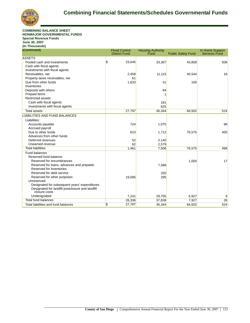

#### **COMBINING BALANCE SHEET NONMAJOR GOVERNMENTAL FUNDS Special Revenue Funds June 30, 2007 (In Thousands)**

| (Continued)                                                       | <b>Flood Control</b><br><b>District Fund</b> |        | <b>Housing Authority</b><br>Fund | <b>Public Safety Fund</b> | In Home Support<br><b>Services Fund</b> |
|-------------------------------------------------------------------|----------------------------------------------|--------|----------------------------------|---------------------------|-----------------------------------------|
| <b>ASSETS</b>                                                     |                                              |        |                                  |                           |                                         |
| Pooled cash and investments                                       | \$                                           | 23,645 | 33,307                           | 43,858                    | 508                                     |
| Cash with fiscal agents                                           |                                              |        |                                  |                           |                                         |
| Investments with fiscal agents                                    |                                              |        |                                  |                           |                                         |
| Receivables, net                                                  |                                              | 2,458  | 11,115                           | 40,544                    | 16                                      |
| Property taxes receivables, net                                   |                                              | 61     |                                  |                           |                                         |
| Due from other funds                                              |                                              | 1,633  | 31                               | 100                       |                                         |
| Inventories                                                       |                                              |        |                                  |                           |                                         |
| Deposits with others                                              |                                              |        | 84                               |                           |                                         |
| Prepaid items                                                     |                                              |        |                                  |                           |                                         |
| Restricted assets:                                                |                                              |        |                                  |                           |                                         |
| Cash with fiscal agents                                           |                                              |        | 181                              |                           |                                         |
| Investments with fiscal agents                                    |                                              |        | 625                              |                           |                                         |
| <b>Total assets</b>                                               |                                              | 27,797 | 45,344                           | 84,502                    | 524                                     |
| LIABILITIES AND FUND BALANCES                                     |                                              |        |                                  |                           |                                         |
| Liabilities:                                                      |                                              |        |                                  |                           |                                         |
| Accounts payable                                                  |                                              | 724    | 1,075                            |                           | 98                                      |
| Accrued payroll                                                   |                                              |        |                                  |                           |                                         |
| Due to other funds                                                |                                              | 623    | 1,712                            | 76,575                    | 400                                     |
| Advances from other funds                                         |                                              |        |                                  |                           |                                         |
| Deferred revenues                                                 |                                              | 52     | 2,140                            |                           |                                         |
| Unearned revenue                                                  |                                              | 62     | 2,579                            |                           |                                         |
| <b>Total liabilities</b>                                          |                                              | 1,461  | 7,506                            | 76,575                    | 498                                     |
| <b>Fund balances</b>                                              |                                              |        |                                  |                           |                                         |
| Reserved fund balance:                                            |                                              |        |                                  |                           |                                         |
| Reserved for encumbrances                                         |                                              |        |                                  | 1,000                     | 17                                      |
| Reserved for loans, advances and prepaids                         |                                              |        | 7,588                            |                           |                                         |
| Reserved for inventories                                          |                                              |        |                                  |                           |                                         |
| Reserved for debt service                                         |                                              |        | 250                              |                           |                                         |
| Reserved for other purposes                                       |                                              | 19,095 | 295                              |                           |                                         |
| Unreserved:                                                       |                                              |        |                                  |                           |                                         |
| Designated for subsequent years' expenditures                     |                                              |        |                                  |                           |                                         |
| Designated for landfill postclosure and landfill<br>closure costs |                                              |        |                                  |                           |                                         |
| Undesignated                                                      |                                              | 7,241  | 29,705                           | 6,927                     | 9                                       |
| <b>Total fund balances</b>                                        |                                              | 26,336 | 37,838                           | 7,927                     | 26                                      |
| Total liabilities and fund balances                               | \$                                           | 27,797 | 45,344                           | 84,502                    | 524                                     |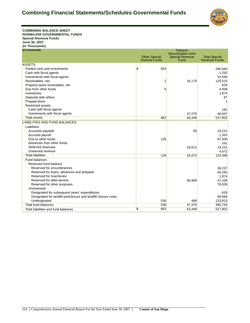

**COMBINING BALANCE SHEET NONMAJOR GOVERNMENTAL FUNDS Special Revenue Funds June 30, 2007 (In Thousands) (Continued)**

| (Continued)                                                    |                        | <b>Tobacco</b>                 |                      |
|----------------------------------------------------------------|------------------------|--------------------------------|----------------------|
|                                                                | <b>Other Special</b>   | <b>Securitization Joint</b>    | <b>Total Special</b> |
|                                                                | <b>Districts Funds</b> | <b>Special Revenue</b><br>Fund | <b>Revenue Funds</b> |
| <b>ASSETS</b>                                                  |                        |                                |                      |
| Pooled cash and investments                                    | \$<br>654              |                                | 295,840              |
| Cash with fiscal agents                                        |                        |                                | 1,292                |
| Investments with fiscal agents                                 |                        |                                | 53,594               |
| Receivables, net                                               | 2                      | 16,170                         | 120,510              |
| Property taxes receivables, net                                |                        |                                | 628                  |
| Due from other funds                                           | 6                      |                                | 4,938                |
| Inventories                                                    |                        |                                | 1,874                |
| Deposits with others                                           |                        |                                | 97                   |
| Prepaid items                                                  |                        |                                |                      |
| Restricted assets:                                             |                        |                                |                      |
| Cash with fiscal agents                                        |                        |                                | 181                  |
| Investments with fiscal agents                                 |                        | 47,278                         | 48.847               |
| <b>Total assets</b>                                            | 662                    | 63,448                         | 527,802              |
| <b>LIABILITIES AND FUND BALANCES</b>                           |                        |                                |                      |
| Liabilities:                                                   |                        |                                |                      |
| Accounts payable                                               |                        | 59                             | 19,231               |
| Accrued payroll                                                |                        |                                | 1,353                |
| Due to other funds                                             | 126                    |                                | 87,500               |
| Advances from other funds                                      |                        |                                | 161                  |
| Deferred revenues                                              |                        | 16,013                         | 19,151               |
| Unearned revenue                                               |                        |                                | 4,672                |
| <b>Total liabilities</b>                                       | 126                    | 16,072                         | 132,068              |
| <b>Fund balances</b>                                           |                        |                                |                      |
| Reserved fund balance:                                         |                        |                                |                      |
| Reserved for encumbrances                                      |                        |                                | 36,237               |
| Reserved for loans, advances and prepaids                      |                        |                                | 40,293               |
| Reserved for inventories                                       |                        |                                | 1,874                |
| Reserved for debt service                                      |                        | 46,908                         | 47,158               |
| Reserved for other purposes                                    |                        |                                | 76,039               |
| Unreserved:                                                    |                        |                                |                      |
| Designated for subsequent years' expenditures                  |                        |                                | 626                  |
| Designated for landfill postclosure and landfill closure costs |                        |                                | 69,694               |
| Undesignated                                                   | 536                    | 468                            | 123,813              |
| <b>Total fund balances</b>                                     | 536                    | 47,376                         | 395,734              |
| Total liabilities and fund balances                            | \$<br>662              | 63,448                         | 527,802              |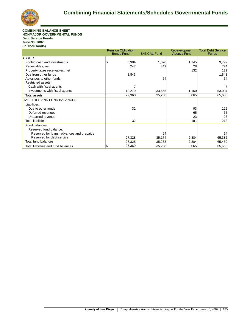

#### **COMBINING BALANCE SHEET NONMAJOR GOVERNMENTAL FUNDS Debt Service Funds June 30, 2007 (In Thousands)**

|                                           | <b>Pension Obligation</b><br><b>Bonds Fund</b> | <b>SANCAL Fund</b> | Redevelopment<br><b>Agency Fund</b> | <b>Total Debt Service</b><br><b>Funds</b> |
|-------------------------------------------|------------------------------------------------|--------------------|-------------------------------------|-------------------------------------------|
| <b>ASSETS</b>                             |                                                |                    |                                     |                                           |
| Pooled cash and investments               | \$<br>6,984                                    | 1,070              | 1,745                               | 9,799                                     |
| Receivables, net                          | 247                                            | 449                | 28                                  | 724                                       |
| Property taxes receivables, net           |                                                |                    | 132                                 | 132                                       |
| Due from other funds                      | 1,843                                          |                    |                                     | 1,843                                     |
| Advances to other funds                   |                                                | 64                 |                                     | 64                                        |
| Restricted assets:                        |                                                |                    |                                     |                                           |
| Cash with fiscal agents                   |                                                |                    |                                     | $\overline{7}$                            |
| Investments with fiscal agents            | 18,279                                         | 33,655             | 1,160                               | 53,094                                    |
| Total assets                              | 27,360                                         | 35,238             | 3,065                               | 65,663                                    |
| <b>LIABILITIES AND FUND BALANCES</b>      |                                                |                    |                                     |                                           |
| Liabilities:                              |                                                |                    |                                     |                                           |
| Due to other funds                        | 32                                             |                    | 93                                  | 125                                       |
| Deferred revenues                         |                                                |                    | 65                                  | 65                                        |
| Unearned revenue                          |                                                |                    | 23                                  | 23                                        |
| <b>Total liabilities</b>                  | 32                                             |                    | 181                                 | 213                                       |
| <b>Fund balances</b>                      |                                                |                    |                                     |                                           |
| Reserved fund balance:                    |                                                |                    |                                     |                                           |
| Reserved for loans, advances and prepaids |                                                | 64                 |                                     | 64                                        |
| Reserved for debt service                 | 27,328                                         | 35,174             | 2,884                               | 65,386                                    |
| <b>Total fund balances</b>                | 27,328                                         | 35,238             | 2,884                               | 65,450                                    |
| Total liabilities and fund balances       | \$<br>27,360                                   | 35,238             | 3,065                               | 65,663                                    |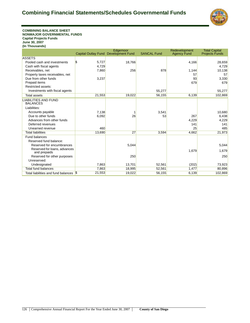

**COMBINING BALANCE SHEET NONMAJOR GOVERNMENTAL FUNDS Capital Projects Funds June 30, 2007 (In Thousands)**

|                                              |                                      | Edgemoor |                    | Redevelopment      | <b>Total Capital</b>  |
|----------------------------------------------|--------------------------------------|----------|--------------------|--------------------|-----------------------|
|                                              | Capital Outlay Fund Development Fund |          | <b>SANCAL Fund</b> | <b>Agency Fund</b> | <b>Projects Funds</b> |
| <b>ASSETS</b>                                |                                      |          |                    |                    |                       |
| Pooled cash and investments                  | \$<br>5,727                          | 18,766   |                    | 4,166              | 28,659                |
| Cash with fiscal agents                      | 4.729                                |          |                    |                    | 4.729                 |
| Receivables, net                             | 7,860                                | 256      | 878                | 1,144              | 10,138                |
| Property taxes receivables, net              |                                      |          |                    | 57                 | 57                    |
| Due from other funds                         | 3,237                                |          |                    | 93                 | 3,330                 |
| Prepaid items                                |                                      |          |                    | 679                | 679                   |
| Restricted assets:                           |                                      |          |                    |                    |                       |
| Investments with fiscal agents               |                                      |          | 55,277             |                    | 55,277                |
| <b>Total assets</b>                          | 21,553                               | 19,022   | 56,155             | 6,139              | 102,869               |
| <b>LIABILITIES AND FUND</b>                  |                                      |          |                    |                    |                       |
| <b>BALANCES</b>                              |                                      |          |                    |                    |                       |
| Liabilities:                                 |                                      |          |                    |                    |                       |
| Accounts payable                             | 7,138                                |          | 3,541              |                    | 10,680                |
| Due to other funds                           | 6,092                                | 26       | 53                 | 267                | 6,438                 |
| Advances from other funds                    |                                      |          |                    | 4,229              | 4,229                 |
| Deferred revenues                            |                                      |          |                    | 141                | 141                   |
| Unearned revenue                             | 460                                  |          |                    | 25                 | 485                   |
| <b>Total liabilities</b>                     | 13.690                               | 27       | 3,594              | 4,662              | 21,973                |
| <b>Fund balances</b>                         |                                      |          |                    |                    |                       |
| Reserved fund balance:                       |                                      |          |                    |                    |                       |
| Reserved for encumbrances                    |                                      | 5,044    |                    |                    | 5,044                 |
| Reserved for loans, advances<br>and prepaids |                                      |          |                    | 1,679              | 1,679                 |
| Reserved for other purposes                  |                                      | 250      |                    |                    | 250                   |
| Unreserved:                                  |                                      |          |                    |                    |                       |
| Undesignated                                 | 7,863                                | 13,701   | 52,561             | (202)              | 73,923                |
| <b>Total fund balances</b>                   | 7,863                                | 18,995   | 52,561             | 1,477              | 80,896                |
| Total liabilities and fund balances          | 21,553<br>$\sqrt{3}$                 | 19,022   | 56,155             | 6,139              | 102,869               |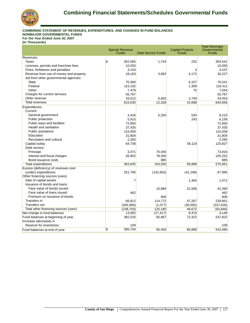

## **COMBINING STATEMENT OF REVENUES, EXPENDITURES, AND CHANGES IN FUND BALANCES**

**NONMAJOR GOVERNMENTAL FUNDS For the Year Ended June 30, 2007**

| (in Thousands) |  |
|----------------|--|
|                |  |

|                                        | <b>Special Revenue</b><br><b>Funds</b> | <b>Debt Service Funds</b> | <b>Capital Projects</b><br><b>Funds</b> | <b>Total Nonmajor</b><br>Governmental<br><b>Funds</b> |
|----------------------------------------|----------------------------------------|---------------------------|-----------------------------------------|-------------------------------------------------------|
| Revenues:                              |                                        |                           |                                         |                                                       |
| <b>Taxes</b>                           | S.<br>302,565                          | 1,744                     | 232                                     | 304,541                                               |
| Licenses, permits and franchise fees   | 10,055                                 |                           |                                         | 10,055                                                |
| Fines, forfeitures and penalties       | 3,103                                  |                           | 4                                       | 3,107                                                 |
| Revenue from use of money and property | 18,163                                 | 3,892                     | 4,172                                   | 26,227                                                |
| Aid from other governmental agencies:  |                                        |                           |                                         |                                                       |
| <b>State</b>                           | 70,384                                 |                           | 6,157                                   | 76,541                                                |
| Federal                                | 115,102                                |                           | 1,309                                   | 116,411                                               |
| Other                                  | 7,479                                  |                           | 75                                      | 7,554                                                 |
| Charges for current services           | 55,767                                 |                           |                                         | 55,767                                                |
| Other revenue                          | 33,012                                 | 6,692                     | 3,749                                   | 43,453                                                |
| <b>Total revenues</b>                  | 615,630                                | 12,328                    | 15,698                                  | 643,656                                               |
| Expenditures:<br>Current:              |                                        |                           |                                         |                                                       |
| General government                     | 3,426                                  | 5,250                     | 534                                     | 9,210                                                 |
| Public protection                      | 5,915                                  |                           | 243                                     | 6,158                                                 |
| Public ways and facilities             | 72,950                                 |                           |                                         | 72,950                                                |
| Health and sanitation                  | 37,435                                 |                           |                                         | 37,435                                                |
| Public assistance                      | 115,059                                |                           |                                         | 115,059                                               |
| Education                              | 31,804                                 |                           |                                         | 31,804                                                |
| Recreation and cultural                | 2,265                                  |                           |                                         | 2,265                                                 |
| Capital outlay                         | 64,708                                 |                           | 56,119                                  | 120,827                                               |
| Debt service:                          |                                        |                           |                                         |                                                       |
| Principal                              | 3,371                                  | 70,445                    |                                         | 73,816                                                |
| Interest and fiscal charges            | 26,902                                 | 78,350                    |                                         | 105,252                                               |
| Bond issuance costs                    |                                        | 885                       |                                         | 885                                                   |
| <b>Total expenditures</b>              | 363,835                                | 154,930                   | 56,896                                  | 575,661                                               |
| Excess (deficiency) of revenues over   |                                        |                           |                                         |                                                       |
| (under) expenditures                   | 251,795                                | (142, 602)                | (41, 198)                               | 67,995                                                |
| Other financing sources (uses)         |                                        |                           |                                         |                                                       |
| Sale of capital assets                 |                                        |                           | 1,464                                   | 1,471                                                 |
| Issuance of bonds and loans:           |                                        |                           |                                         |                                                       |
| Face value of bonds issued             |                                        | 10,884                    | 31,506                                  | 42,390                                                |
| Face value of loans issued             | 462                                    |                           |                                         | 462                                                   |
| Premium on issuance of bonds           |                                        | 606                       |                                         | 606                                                   |
| Transfers in                           | 66,812                                 | 114,772                   | 47,267                                  | 228,851                                               |
| <b>Transfers out</b>                   | (305, 984)                             | (1,077)                   | (30, 565)                               | (337, 626)                                            |
| Total other financing sources (uses)   | (238, 703)                             | 125,185                   | 49,672                                  | (63, 846)                                             |
| Net change in fund balances            | 13,092                                 | (17, 417)                 | 8,474                                   | 4,149                                                 |
| Fund balances at beginning of year     | 382,533                                | 82,867                    | 72,422                                  | 537,822                                               |
| Increase (decrease) in                 |                                        |                           |                                         |                                                       |
| Reserve for inventories                | 109                                    |                           |                                         | 109                                                   |
| Fund balances at end of year           | \$<br>395,734                          | 65,450                    | 80,896                                  | 542,080                                               |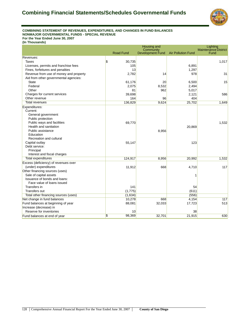

#### **COMBINING STATEMENT OF REVENUES, EXPENDITURES, AND CHANGES IN FUND BALANCES NONMAJOR GOVERNMENTAL FUNDS - SPECIAL REVENUE For the Year Ended June 30, 2007**

|                                        | <b>Housing and</b><br>Lighting      |                               |                           |                                     |
|----------------------------------------|-------------------------------------|-------------------------------|---------------------------|-------------------------------------|
|                                        | <b>Road Fund</b>                    | Community<br>Development Fund | <b>Air Pollution Fund</b> | <b>Maintenance District</b><br>Fund |
|                                        |                                     |                               |                           |                                     |
| Revenues:                              |                                     |                               |                           |                                     |
| Taxes                                  | $\boldsymbol{\mathsf{s}}$<br>30,735 |                               |                           | 1,017                               |
| Licenses, permits and franchise fees   | 105                                 |                               | 6,891                     |                                     |
| Fines, forfeitures and penalties       | 13                                  |                               | 1,297                     |                                     |
| Revenue from use of money and property | 2,782                               | 14                            | 978                       | 31                                  |
| Aid from other governmental agencies:  |                                     |                               |                           |                                     |
| <b>State</b>                           | 61,176                              | 20                            | 6,500                     | 15                                  |
| Federal                                | 2,075                               | 8,532                         | 2,494                     |                                     |
| Other                                  | 81                                  | 962                           | 5,017                     |                                     |
| Charges for current services           | 39,698                              |                               | 2,121                     | 586                                 |
| Other revenue                          | 164                                 | 96                            | 404                       |                                     |
| <b>Total revenues</b>                  | 136,829                             | 9,624                         | 25,702                    | 1,649                               |
| Expenditures:                          |                                     |                               |                           |                                     |
| Current:                               |                                     |                               |                           |                                     |
| General government                     |                                     |                               |                           |                                     |
| Public protection                      |                                     |                               |                           |                                     |
| Public ways and facilities             | 69,770                              |                               |                           | 1,532                               |
| Health and sanitation                  |                                     |                               | 20,869                    |                                     |
| Public assistance                      |                                     | 8,956                         |                           |                                     |
| Education                              |                                     |                               |                           |                                     |
| Recreation and cultural                |                                     |                               |                           |                                     |
| Capital outlay                         | 55,147                              |                               | 123                       |                                     |
| Debt service:                          |                                     |                               |                           |                                     |
| Principal                              |                                     |                               |                           |                                     |
| Interest and fiscal charges            |                                     |                               |                           |                                     |
| <b>Total expenditures</b>              | 124,917                             | 8,956                         | 20,992                    | 1,532                               |
| Excess (deficiency) of revenues over   |                                     |                               |                           |                                     |
| (under) expenditures                   | 11,912                              | 668                           | 4,710                     | 117                                 |
| Other financing sources (uses)         |                                     |                               |                           |                                     |
| Sale of capital assets                 |                                     |                               |                           |                                     |
| Issuance of bonds and loans:           |                                     |                               |                           |                                     |
| Face value of loans issued             |                                     |                               |                           |                                     |
| Transfers in                           | 141                                 |                               | 54                        |                                     |
| Transfers out                          | (1,775)                             |                               | (611)                     |                                     |
| Total other financing sources (uses)   | (1,634)                             |                               | (556)                     |                                     |
| Net change in fund balances            | 10,278                              | 668                           | 4,154                     | 117                                 |
| Fund balances at beginning of year     | 88,081                              | 32,033                        | 17,723                    | 513                                 |
| Increase (decrease) in                 |                                     |                               |                           |                                     |
| Reserve for inventories                | 10                                  |                               | 38                        |                                     |
| Fund balances at end of year           | \$<br>98,369                        | 32,701                        | 21,915                    | 630                                 |
|                                        |                                     |                               |                           |                                     |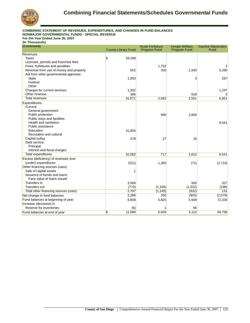

#### **COMBINING STATEMENT OF REVENUES, EXPENDITURES, AND CHANGES IN FUND BALANCES NONMAJOR GOVERNMENTAL FUNDS - SPECIAL REVENUE**

**For the Year Ended June 30, 2007**

| (Continued)                            |                                    | <b>Asset Forfeiture</b> | <b>Inmate Welfare</b> | <b>Inactive Wastesites</b> |
|----------------------------------------|------------------------------------|-------------------------|-----------------------|----------------------------|
|                                        | <b>County Library Fund</b>         | <b>Program Fund</b>     | <b>Program Fund</b>   | Fund                       |
| Revenues:                              |                                    |                         |                       |                            |
| Taxes                                  | S.<br>28,298                       |                         |                       |                            |
| Licenses, permits and franchise fees   |                                    |                         |                       |                            |
| Fines, forfeitures and penalties       |                                    | 1,752                   |                       |                            |
| Revenue from use of money and property | 552                                | 330                     | 1,930                 | 5,290                      |
| Aid from other governmental agencies:  |                                    |                         |                       |                            |
| <b>State</b>                           | 1,003                              |                         | 3                     | 287                        |
| Federal                                |                                    |                         |                       |                            |
| Other                                  |                                    |                         |                       |                            |
| Charges for current services           | 1,332                              |                         |                       | 1,247                      |
| Other revenue                          | 386                                |                         | 618                   |                            |
| <b>Total revenues</b>                  | 31,571                             | 2,082                   | 2,551                 | 6,831                      |
| Expenditures:                          |                                    |                         |                       |                            |
| Current:                               |                                    |                         |                       |                            |
| General government                     |                                    |                         |                       |                            |
| Public protection                      |                                    | 690                     | 2,606                 |                            |
| Public ways and facilities             |                                    |                         |                       |                            |
| Health and sanitation                  |                                    |                         |                       | 9,541                      |
| Public assistance                      |                                    |                         |                       |                            |
| Education                              | 31,804                             |                         |                       |                            |
| Recreation and cultural                |                                    |                         |                       |                            |
| Capital outlay                         | 278                                | 27                      | 16                    |                            |
| Debt service:                          |                                    |                         |                       |                            |
| Principal                              |                                    |                         |                       |                            |
| Interest and fiscal charges            |                                    |                         |                       |                            |
| <b>Total expenditures</b>              | 32,082                             | 717                     | 2,622                 | 9,541                      |
| Excess (deficiency) of revenues over   |                                    |                         |                       |                            |
| (under) expenditures                   | (511)                              | 1,365                   | (71)                  | (2,710)                    |
| Other financing sources (uses)         |                                    |                         |                       |                            |
| Sale of capital assets                 |                                    |                         |                       |                            |
| Issuance of bonds and loans:           |                                    |                         |                       |                            |
| Face value of loans issued             |                                    |                         |                       |                            |
| Transfers in                           | 3,569                              |                         | 500                   | 327                        |
| Transfers out                          | (773)                              | (1, 165)                | (1, 332)              | (196)                      |
| Total other financing sources (uses)   | 2,797                              | (1, 165)                | (832)                 | 131                        |
| Net change in fund balances            | 2,286                              | 200                     | (903)                 | (2, 579)                   |
| Fund balances at beginning of year     | 8,809                              | 5,825                   | 5,949                 | 72,335                     |
| Increase (decrease) in                 |                                    |                         |                       |                            |
| Reserve for inventories                | (6)                                |                         | 66                    |                            |
| Fund balances at end of year           | $\overline{\mathcal{S}}$<br>11,089 | 6,026                   | 5,112                 | 69,756                     |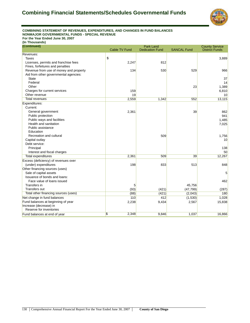

#### **COMBINING STATEMENT OF REVENUES, EXPENDITURES, AND CHANGES IN FUND BALANCES NONMAJOR GOVERNMENTAL FUNDS - SPECIAL REVENUE For the Year Ended June 30, 2007**

| (Continued)                            |               | <b>Park Land</b>       |                    | <b>County Service</b> |
|----------------------------------------|---------------|------------------------|--------------------|-----------------------|
|                                        | Cable TV Fund | <b>Dedication Fund</b> | <b>SANCAL Fund</b> | <b>District Funds</b> |
| Revenues:                              |               |                        |                    |                       |
| Taxes                                  | \$            |                        |                    | 3,889                 |
| Licenses, permits and franchise fees   | 2,247         | 812                    |                    |                       |
| Fines, forfeitures and penalties       |               |                        |                    |                       |
| Revenue from use of money and property | 134           | 530                    | 529                | 966                   |
| Aid from other governmental agencies:  |               |                        |                    |                       |
| <b>State</b>                           |               |                        |                    | 37                    |
| Federal                                |               |                        |                    | 14                    |
| Other                                  |               |                        | 23                 | 1,389                 |
| Charges for current services           | 159           |                        |                    | 6,810                 |
| Other revenue                          | 19            |                        |                    | 10                    |
| <b>Total revenues</b>                  | 2,559         | 1,342                  | 552                | 13,115                |
| Expenditures:                          |               |                        |                    |                       |
| Current:                               |               |                        |                    |                       |
| General government                     | 2,361         |                        | 39                 | 862                   |
| Public protection                      |               |                        |                    | 941                   |
| Public ways and facilities             |               |                        |                    | 1,485                 |
| Health and sanitation                  |               |                        |                    | 7,025                 |
| Public assistance                      |               |                        |                    |                       |
| Education                              |               |                        |                    |                       |
| Recreation and cultural                |               | 509                    |                    | 1,756                 |
| Capital outlay                         |               |                        |                    | 10                    |
| Debt service:                          |               |                        |                    |                       |
| Principal                              |               |                        |                    | 138                   |
| Interest and fiscal charges            |               |                        |                    | 50                    |
| <b>Total expenditures</b>              | 2,361         | 509                    | 39                 | 12,267                |
| Excess (deficiency) of revenues over   |               |                        |                    |                       |
| (under) expenditures                   | 198           | 833                    | 513                | 848                   |
| Other financing sources (uses)         |               |                        |                    |                       |
| Sale of capital assets                 |               |                        |                    | 5                     |
| Issuance of bonds and loans:           |               |                        |                    |                       |
| Face value of loans issued             |               |                        |                    | 462                   |
| Transfers in                           | 5             |                        | 45,756             |                       |
| <b>Transfers out</b>                   | (93)          | (421)                  | (47, 799)          | (287)                 |
| Total other financing sources (uses)   | (88)          | (421)                  | (2,043)            | 180                   |
| Net change in fund balances            | 110           | 412                    | (1,530)            | 1,028                 |
| Fund balances at beginning of year     | 2,238         | 9,434                  | 2,567              | 15,838                |
| Increase (decrease) in                 |               |                        |                    |                       |
| Reserve for inventories                |               |                        |                    |                       |
| Fund balances at end of year           | \$<br>2,348   | 9,846                  | 1,037              | 16,866                |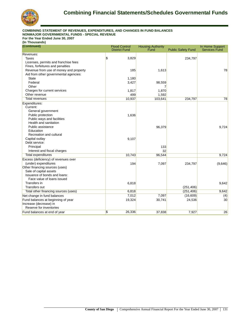

### **COMBINING STATEMENT OF REVENUES, EXPENDITURES, AND CHANGES IN FUND BALANCES NONMAJOR GOVERNMENTAL FUNDS - SPECIAL REVENUE**

**For the Year Ended June 30, 2007**

| (Continued)                            | <b>Flood Control</b> | <b>Housing Authority</b> |                           | In Home Support      |
|----------------------------------------|----------------------|--------------------------|---------------------------|----------------------|
|                                        | <b>District Fund</b> | Fund                     | <b>Public Safety Fund</b> | <b>Services Fund</b> |
| Revenues:                              |                      |                          |                           |                      |
| Taxes                                  | S.<br>3,829          |                          | 234,797                   |                      |
| Licenses, permits and franchise fees   |                      |                          |                           |                      |
| Fines, forfeitures and penalties       |                      |                          |                           |                      |
| Revenue from use of money and property | 185                  | 1,613                    |                           | 78                   |
| Aid from other governmental agencies:  |                      |                          |                           |                      |
| <b>State</b>                           | 1,180                |                          |                           |                      |
| Federal                                | 3,427                | 98,559                   |                           |                      |
| Other                                  |                      |                          |                           |                      |
| Charges for current services           | 1,817                | 1,870                    |                           |                      |
| Other revenue                          | 499                  | 1,592                    |                           |                      |
| <b>Total revenues</b>                  | 10,937               | 103,641                  | 234,797                   | 78                   |
| Expenditures:                          |                      |                          |                           |                      |
| Current:                               |                      |                          |                           |                      |
| General government                     |                      |                          |                           |                      |
| Public protection                      | 1,636                |                          |                           |                      |
| Public ways and facilities             |                      |                          |                           |                      |
| Health and sanitation                  |                      |                          |                           |                      |
| Public assistance                      |                      | 96,379                   |                           | 9,724                |
| Education                              |                      |                          |                           |                      |
| Recreation and cultural                |                      |                          |                           |                      |
| Capital outlay                         | 9,107                |                          |                           |                      |
| Debt service:                          |                      |                          |                           |                      |
| Principal                              |                      | 133                      |                           |                      |
| Interest and fiscal charges            |                      | 32                       |                           |                      |
| <b>Total expenditures</b>              | 10,743               | 96,544                   |                           | 9,724                |
| Excess (deficiency) of revenues over   |                      |                          |                           |                      |
| (under) expenditures                   | 194                  | 7,097                    | 234,797                   | (9,646)              |
| Other financing sources (uses)         |                      |                          |                           |                      |
| Sale of capital assets                 |                      |                          |                           |                      |
| Issuance of bonds and loans:           |                      |                          |                           |                      |
| Face value of loans issued             |                      |                          |                           |                      |
| Transfers in                           | 6,818                |                          |                           | 9,642                |
| Transfers out                          |                      |                          | (251, 406)                |                      |
| Total other financing sources (uses)   | 6,818                |                          | (251, 406)                | 9,642                |
| Net change in fund balances            | 7,012                | 7,097                    | (16, 609)                 | (4)                  |
| Fund balances at beginning of year     | 19,324               | 30,741                   | 24,536                    | 30                   |
| Increase (decrease) in                 |                      |                          |                           |                      |
| Reserve for inventories                |                      |                          |                           |                      |
| Fund balances at end of year           | S.<br>26,336         | 37,838                   | 7,927                     | 26                   |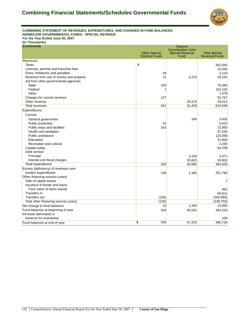

#### **COMBINING STATEMENT OF REVENUES, EXPENDITURES, AND CHANGES IN FUND BALANCES NONMAJOR GOVERNMENTAL FUNDS - SPECIAL REVENUE For the Year Ended June 30, 2007**

**(In Thousands)**

**(Continued)**

| (Continued)                            |                        | <b>Tobacco</b>                                        |                      |
|----------------------------------------|------------------------|-------------------------------------------------------|----------------------|
|                                        | <b>Other Special</b>   | <b>Securitization Joint</b><br><b>Special Revenue</b> | <b>Total Special</b> |
|                                        | <b>Districts Funds</b> | Fund                                                  | <b>Revenue Funds</b> |
| Revenues:                              |                        |                                                       |                      |
| Taxes                                  | \$                     |                                                       | 302,565              |
| Licenses, permits and franchise fees   |                        |                                                       | 10,055               |
| Fines, forfeitures and penalties       | 39                     |                                                       | 3,103                |
| Revenue from use of money and property | 11                     | 2,210                                                 | 18,163               |
| Aid from other governmental agencies:  |                        |                                                       |                      |
| <b>State</b>                           | 163                    |                                                       | 70,384               |
| Federal                                | 1                      |                                                       | 115,102              |
| Other                                  |                        |                                                       | 7,479                |
| Charges for current services           | 127                    |                                                       | 55,767               |
| Other revenue                          |                        | 29,219                                                | 33,012               |
| <b>Total revenues</b>                  | 341                    | 31,429                                                | 615,630              |
| Expenditures:                          |                        |                                                       |                      |
| Current:                               |                        |                                                       |                      |
| General government                     |                        | 164                                                   | 3,426                |
| Public protection                      | 42                     |                                                       | 5,915                |
| Public ways and facilities             | 163                    |                                                       | 72,950               |
| Health and sanitation                  |                        |                                                       | 37,435               |
| Public assistance                      |                        |                                                       | 115,059              |
| Education                              |                        |                                                       | 31,804               |
| Recreation and cultural                |                        |                                                       | 2,265                |
| Capital outlay                         |                        |                                                       | 64,708               |
| Debt service:                          |                        |                                                       |                      |
| Principal                              |                        | 3,100                                                 | 3,371                |
| Interest and fiscal charges            |                        | 26,820                                                | 26,902               |
| <b>Total expenditures</b>              | 205                    | 30,084                                                | 363,835              |
| Excess (deficiency) of revenues over   |                        |                                                       |                      |
| (under) expenditures                   | 136                    | 1,345                                                 | 251,795              |
| Other financing sources (uses)         |                        |                                                       |                      |
| Sale of capital assets                 |                        |                                                       | 7                    |
| Issuance of bonds and loans:           |                        |                                                       |                      |
| Face value of loans issued             |                        |                                                       | 462                  |
| Transfers in                           |                        |                                                       | 66,812               |
| Transfers out                          | (126)                  |                                                       | (305, 984)           |
| Total other financing sources (uses)   | (126)                  |                                                       | (238, 703)           |
| Net change in fund balances            | 10                     | 1,345                                                 | 13,092               |
| Fund balances at beginning of year     | 526                    | 46,031                                                | 382,533              |
| Increase (decrease) in                 |                        |                                                       |                      |
| Reserve for inventories                |                        |                                                       | 109                  |
| Fund balances at end of year           | $\sqrt[6]{3}$<br>536   | 47,376                                                | 395,734              |
|                                        |                        |                                                       |                      |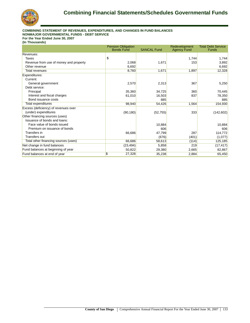

### **COMBINING STATEMENT OF REVENUES, EXPENDITURES, AND CHANGES IN FUND BALANCES NONMAJOR GOVERNMENTAL FUNDS - DEBT SERVICE**

**For the Year Ended June 30, 2007**

|                                        | <b>Pension Obligation</b><br><b>Bonds Fund</b> | <b>SANCAL Fund</b> | Redevelopment<br><b>Agency Fund</b> | <b>Total Debt Service</b><br><b>Funds</b> |
|----------------------------------------|------------------------------------------------|--------------------|-------------------------------------|-------------------------------------------|
| Revenues:                              |                                                |                    |                                     |                                           |
| Taxes                                  | \$                                             |                    | 1,744                               | 1,744                                     |
|                                        |                                                |                    | 153                                 |                                           |
| Revenue from use of money and property | 2,068                                          | 1,671              |                                     | 3,892                                     |
| Other revenue                          | 6,692                                          |                    |                                     | 6,692                                     |
| <b>Total revenues</b>                  | 8,760                                          | 1,671              | 1,897                               | 12,328                                    |
| Expenditures:                          |                                                |                    |                                     |                                           |
| Current:                               |                                                |                    |                                     |                                           |
| General government                     | 2,570                                          | 2,313              | 367                                 | 5,250                                     |
| Debt service:                          |                                                |                    |                                     |                                           |
| Principal                              | 35,360                                         | 34,725             | 360                                 | 70,445                                    |
| Interest and fiscal charges            | 61,010                                         | 16,503             | 837                                 | 78,350                                    |
| Bond issuance costs                    |                                                | 885                |                                     | 885                                       |
| <b>Total expenditures</b>              | 98,940                                         | 54,426             | 1,564                               | 154,930                                   |
| Excess (deficiency) of revenues over   |                                                |                    |                                     |                                           |
| (under) expenditures                   | (90, 180)                                      | (52, 755)          | 333                                 | (142, 602)                                |
| Other financing sources (uses)         |                                                |                    |                                     |                                           |
| Issuance of bonds and loans:           |                                                |                    |                                     |                                           |
| Face value of bonds issued             |                                                | 10,884             |                                     | 10,884                                    |
| Premium on issuance of bonds           |                                                | 606                |                                     | 606                                       |
| Transfers in                           | 66,686                                         | 47,799             | 287                                 | 114,772                                   |
| <b>Transfers out</b>                   |                                                | (676)              | (401)                               | (1,077)                                   |
| Total other financing sources (uses)   | 66,686                                         | 58,613             | (114)                               | 125,185                                   |
| Net change in fund balances            | (23, 494)                                      | 5,858              | 219                                 | (17, 417)                                 |
| Fund balances at beginning of year     | 50,822                                         | 29,380             | 2,665                               | 82,867                                    |
|                                        | \$<br>27,328                                   | 35,238             | 2,884                               | 65,450                                    |
| Fund balances at end of year           |                                                |                    |                                     |                                           |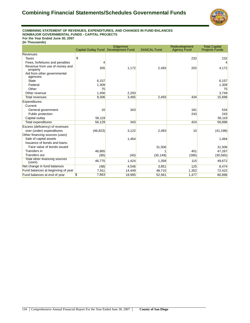

#### **COMBINING STATEMENT OF REVENUES, EXPENDITURES, AND CHANGES IN FUND BALANCES NONMAJOR GOVERNMENTAL FUNDS - CAPITAL PROJECTS For the Year Ended June 30, 2007**

|                                           | <b>Capital Outlay Fund</b> | Edgemoor<br><b>Development Fund</b> | <b>SANCAL Fund</b> | Redevelopment<br><b>Agency Fund</b> | <b>Total Capital</b><br><b>Projects Funds</b> |
|-------------------------------------------|----------------------------|-------------------------------------|--------------------|-------------------------------------|-----------------------------------------------|
| Revenues:                                 |                            |                                     |                    |                                     |                                               |
| Taxes                                     | \$                         |                                     |                    | 232                                 | 232                                           |
| Fines, forfeitures and penalties          |                            |                                     |                    |                                     | 4                                             |
| Revenue from use of money and<br>property | 305                        | 1,172                               | 2,493              | 202                                 | 4,172                                         |
| Aid from other governmental<br>agencies:  |                            |                                     |                    |                                     |                                               |
| <b>State</b>                              | 6,157                      |                                     |                    |                                     | 6,157                                         |
| Federal                                   | 1,309                      |                                     |                    |                                     | 1,309                                         |
| Other                                     | 75                         |                                     |                    |                                     | 75                                            |
| Other revenue                             | 1,456                      | 2,293                               |                    |                                     | 3,749                                         |
| <b>Total revenues</b>                     | 9,306                      | 3,465                               | 2,493              | 434                                 | 15,698                                        |
| Expenditures:                             |                            |                                     |                    |                                     |                                               |
| Current:                                  |                            |                                     |                    |                                     |                                               |
| General government                        | 10                         | 343                                 |                    | 181                                 | 534                                           |
| Public protection                         |                            |                                     |                    | 243                                 | 243                                           |
| Capital outlay                            | 56,119                     |                                     |                    |                                     | 56,119                                        |
| <b>Total expenditures</b>                 | 56,129                     | 343                                 |                    | 424                                 | 56,896                                        |
| Excess (deficiency) of revenues           |                            |                                     |                    |                                     |                                               |
| over (under) expenditures                 | (46, 823)                  | 3,122                               | 2,493              | 10                                  | (41, 198)                                     |
| Other financing sources (uses)            |                            |                                     |                    |                                     |                                               |
| Sale of capital assets                    |                            | 1,464                               |                    |                                     | 1,464                                         |
| Issuance of bonds and loans:              |                            |                                     |                    |                                     |                                               |
| Face value of bonds issued                |                            |                                     | 31,506             |                                     | 31,506                                        |
| Transfers in                              | 46,865                     |                                     |                    | 401                                 | 47,267                                        |
| <b>Transfers out</b>                      | (90)                       | (40)                                | (30, 149)          | (286)                               | (30, 565)                                     |
| Total other financing sources<br>(uses)   | 46,775                     | 1,424                               | 1,358              | 115                                 | 49,672                                        |
| Net change in fund balances               | (48)                       | 4,546                               | 3,851              | 125                                 | 8,474                                         |
| Fund balances at beginning of year        | 7,911                      | 14,449                              | 48,710             | 1,352                               | 72,422                                        |
| Fund balances at end of year              | S.<br>7,863                | 18,995                              | 52,561             | 1,477                               | 80,896                                        |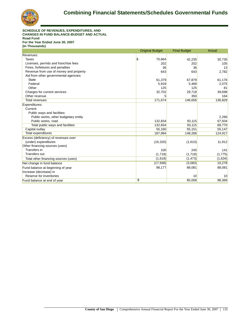

#### **SCHEDULE OF REVENUES, EXPENDITURES, AND CHANGES IN FUND BALANCE-BUDGET AND ACTUAL Road Fund For the Year Ended June 30, 2007 (In Thousands)**

|                                        | <b>Original Budget</b>  | <b>Final Budget</b> | Actual  |
|----------------------------------------|-------------------------|---------------------|---------|
| Revenues:                              |                         |                     |         |
| Taxes                                  | $\frac{1}{2}$<br>70,664 | 42,235              | 30,735  |
| Licenses, permits and franchise fees   | 202                     | 202                 | 105     |
| Fines, forfeitures and penalties       | 36                      | 36                  | 13      |
| Revenue from use of money and property | 643                     | 643                 | 2,782   |
| Aid from other governmental agencies:  |                         |                     |         |
| <b>State</b>                           | 61,379                  | 67,879              | 61,176  |
| Federal                                | 5,918                   | 5,468               | 2,075   |
| Other                                  | 125                     | 125                 | 81      |
| Charges for current services           | 32,702                  | 29,718              | 39,698  |
| Other revenue                          | 5                       | 350                 | 164     |
| <b>Total revenues</b>                  | 171,674                 | 146,656             | 136,829 |
| Expenditures:                          |                         |                     |         |
| Current:                               |                         |                     |         |
| Public ways and facilities:            |                         |                     |         |
| Public works, other budgetary entity   |                         |                     | 2,266   |
| Public works, road                     | 132,834                 | 93,115              | 67,504  |
| Total public ways and facilities       | 132,834                 | 93,115              | 69,770  |
| Capital outlay                         | 55,160                  | 55,151              | 55,147  |
| <b>Total expenditures</b>              | 187,994                 | 148,266             | 124,917 |
| Excess (deficiency) of revenues over   |                         |                     |         |
| (under) expenditures                   | (16, 320)               | (1,610)             | 11,912  |
| Other financing sources (uses)         |                         |                     |         |
| Transfers in                           | 100                     | 245                 | 141     |
| <b>Transfers out</b>                   | (1,718)                 | (1,718)             | (1,775) |
| Total other financing sources (uses)   | (1,618)                 | (1, 473)            | (1,634) |
| Net change in fund balance             | (17,938)                | (3,083)             | 10,278  |
| Fund balance at beginning of year      | 98,177                  | 88,081              | 88,081  |
| Increase (decrease) in                 |                         |                     |         |
| Reserve for inventories                |                         | 10                  | 10      |
| Fund balance at end of year            | \$                      | 85,008              | 98,369  |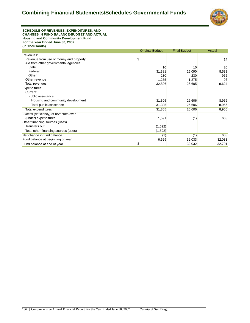

**SCHEDULE OF REVENUES, EXPENDITURES, AND CHANGES IN FUND BALANCE-BUDGET AND ACTUAL Housing and Community Development Fund For the Year Ended June 30, 2007 (In Thousands)**

|                                        | <b>Original Budget</b> | <b>Final Budget</b> | Actual |
|----------------------------------------|------------------------|---------------------|--------|
| Revenues:                              |                        |                     |        |
| Revenue from use of money and property | \$                     |                     | 14     |
| Aid from other governmental agencies:  |                        |                     |        |
| <b>State</b>                           | 10                     | 10                  | 20     |
| Federal                                | 31,381                 | 25,090              | 8,532  |
| Other                                  | 230                    | 230                 | 962    |
| Other revenue                          | 1,275                  | 1,275               | 96     |
| Total revenues                         | 32,896                 | 26,605              | 9,624  |
| Expenditures:                          |                        |                     |        |
| Current:                               |                        |                     |        |
| Public assistance:                     |                        |                     |        |
| Housing and community development      | 31,305                 | 26,606              | 8,956  |
| Total public assistance                | 31,305                 | 26,606              | 8,956  |
| Total expenditures                     | 31,305                 | 26,606              | 8,956  |
| Excess (deficiency) of revenues over   |                        |                     |        |
| (under) expenditures                   | 1,591                  | (1)                 | 668    |
| Other financing sources (uses)         |                        |                     |        |
| Transfers out                          | (1,592)                |                     |        |
| Total other financing sources (uses)   | (1,592)                |                     |        |
| Net change in fund balance             | (1)                    | (1)                 | 668    |
| Fund balance at beginning of year      | 6,629                  | 32,033              | 32,033 |
| Fund balance at end of year            | \$                     | 32,032              | 32,701 |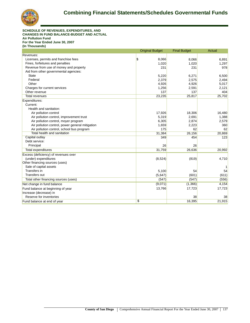

**SCHEDULE OF REVENUES, EXPENDITURES, AND CHANGES IN FUND BALANCE-BUDGET AND ACTUAL Air Pollution Fund For the Year Ended June 30, 2007 (In Thousands)**

|                                                 | <b>Original Budget</b>             | <b>Final Budget</b> | <b>Actual</b> |
|-------------------------------------------------|------------------------------------|---------------------|---------------|
| Revenues:                                       |                                    |                     |               |
| Licenses, permits and franchise fees            | $\boldsymbol{\mathsf{s}}$<br>8,066 | 8,066               | 6,891         |
| Fines, forfeitures and penalties                | 1,020                              | 1,020               | 1,297         |
| Revenue from use of money and property          | 231                                | 231                 | 978           |
| Aid from other governmental agencies:           |                                    |                     |               |
| <b>State</b>                                    | 5,220                              | 6,271               | 6,500         |
| Federal                                         | 2,379                              | 2,575               | 2,494         |
| Other                                           | 4,926                              | 4,926               | 5,017         |
| Charges for current services                    | 1,256                              | 2,591               | 2,121         |
| Other revenue                                   | 137                                | 137                 | 404           |
| <b>Total revenues</b>                           | 23,235                             | 25,817              | 25,702        |
| Expenditures:                                   |                                    |                     |               |
| Current:                                        |                                    |                     |               |
| Health and sanitation:                          |                                    |                     |               |
| Air pollution control                           | 17,926                             | 18,306              | 16,480        |
| Air pollution control, improvement trust        | 5,319                              | 2,691               | 1,388         |
| Air pollution control, moyer program            | 6,305                              | 2,874               | 2,579         |
| Air pollution control, power general mitigation | 1,659                              | 2,223               | 360           |
| Air pollution control, school bus program       | 175                                | 62                  | 62            |
| <b>Total health and sanitation</b>              | 31,384                             | 26,156              | 20,869        |
| Capital outlay                                  | 349                                | 454                 | 123           |
| Debt service:                                   |                                    |                     |               |
| Principal                                       | 26                                 | 26                  |               |
| Total expenditures                              | 31,759                             | 26,636              | 20,992        |
| Excess (deficiency) of revenues over            |                                    |                     |               |
| (under) expenditures                            | (8,524)                            | (819)               | 4,710         |
| Other financing sources (uses)                  |                                    |                     |               |
| Sale of capital assets                          |                                    |                     |               |
| Transfers in                                    | 5,100                              | 54                  | 54            |
| <b>Transfers out</b>                            | (5,647)                            | (601)               | (611)         |
| Total other financing sources (uses)            | (547)                              | (547)               | (556)         |
| Net change in fund balance                      | (9,071)                            | (1,366)             | 4,154         |
| Fund balance at beginning of year               | 13,766                             | 17,723              | 17,723        |
| Increase (decrease) in                          |                                    |                     |               |
| Reserve for inventories                         |                                    | 38                  | 38            |
| Fund balance at end of year                     | \$                                 | 16,395              | 21,915        |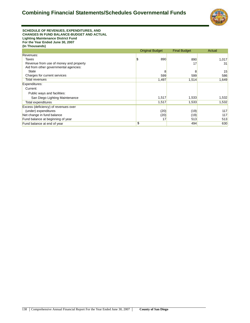

#### **SCHEDULE OF REVENUES, EXPENDITURES, AND CHANGES IN FUND BALANCE-BUDGET AND ACTUAL Lighting Maintenance District Fund For the Year Ended June 30, 2007 (In Thousands)**

|                                        | <b>Original Budget</b> | <b>Final Budget</b> | Actual |
|----------------------------------------|------------------------|---------------------|--------|
| Revenues:                              |                        |                     |        |
| Taxes                                  | 890                    | 890                 | 1,017  |
| Revenue from use of money and property |                        | 17                  | 31     |
| Aid from other governmental agencies:  |                        |                     |        |
| <b>State</b>                           | 8                      | 8                   | 15     |
| Charges for current services           | 599                    | 599                 | 586    |
| Total revenues                         | 1,497                  | 1,514               | 1,649  |
| Expenditures:                          |                        |                     |        |
| Current:                               |                        |                     |        |
| Public ways and facilities:            |                        |                     |        |
| San Diego Lighting Maintenance         | 1,517                  | 1,533               | 1,532  |
| Total expenditures                     | 1,517                  | 1,533               | 1,532  |
| Excess (deficiency) of revenues over   |                        |                     |        |
| (under) expenditures                   | (20)                   | (19)                | 117    |
| Net change in fund balance             | (20)                   | (19)                | 117    |
| Fund balance at beginning of year      | 17                     | 513                 | 513    |
| Fund balance at end of year            | \$                     | 494                 | 630    |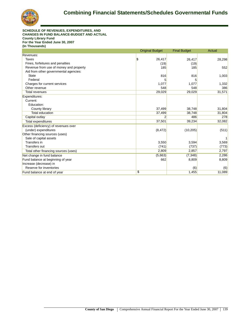

**SCHEDULE OF REVENUES, EXPENDITURES, AND CHANGES IN FUND BALANCE-BUDGET AND ACTUAL County Library Fund For the Year Ended June 30, 2007 (In Thousands)**

|                                        | <b>Original Budget</b> | <b>Final Budget</b> | Actual |
|----------------------------------------|------------------------|---------------------|--------|
| Revenues:                              |                        |                     |        |
| Taxes                                  | S.<br>26,417           | 26,417              | 28,298 |
| Fines, forfeitures and penalties       | (19)                   | (19)                |        |
| Revenue from use of money and property | 185                    | 185                 | 552    |
| Aid from other governmental agencies:  |                        |                     |        |
| <b>State</b>                           | 816                    | 816                 | 1,003  |
| Federal                                |                        |                     |        |
| Charges for current services           | 1,077                  | 1,077               | 1,332  |
| Other revenue                          | 548                    | 548                 | 386    |
| <b>Total revenues</b>                  | 29,029                 | 29,029              | 31,571 |
| Expenditures:                          |                        |                     |        |
| Current:                               |                        |                     |        |
| Education:                             |                        |                     |        |
| County library                         | 37,499                 | 38,748              | 31,804 |
| <b>Total education</b>                 | 37,499                 | 38,748              | 31,804 |
| Capital outlay                         | 2                      | 486                 | 278    |
| Total expenditures                     | 37,501                 | 39,234              | 32,082 |
| Excess (deficiency) of revenues over   |                        |                     |        |
| (under) expenditures                   | (8, 472)               | (10, 205)           | (511)  |
| Other financing sources (uses)         |                        |                     |        |
| Sale of capital assets                 |                        |                     |        |
| Transfers in                           | 3,550                  | 3,594               | 3,569  |
| <b>Transfers out</b>                   | (741)                  | (737)               | (773)  |
| Total other financing sources (uses)   | 2,809                  | 2,857               | 2,797  |
| Net change in fund balance             | (5,663)                | (7, 348)            | 2,286  |
| Fund balance at beginning of year      | 662                    | 8,809               | 8,809  |
| Increase (decrease) in                 |                        |                     |        |
| Reserve for inventories                |                        | (6)                 | (6)    |
| Fund balance at end of year            | \$                     | 1,455               | 11,089 |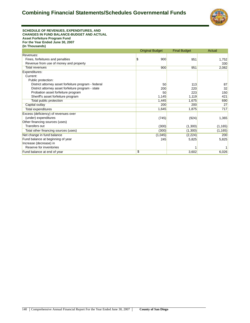

#### **SCHEDULE OF REVENUES, EXPENDITURES, AND CHANGES IN FUND BALANCE-BUDGET AND ACTUAL Asset Forfeiture Program Fund For the Year Ended June 30, 2007 (In Thousands)**

|                                                      | <b>Original Budget</b> | <b>Final Budget</b> | Actual   |
|------------------------------------------------------|------------------------|---------------------|----------|
| Revenues:                                            |                        |                     |          |
| Fines, forfeitures and penalties                     | 900                    | 951                 | 1,752    |
| Revenue from use of money and property               |                        |                     | 330      |
| Total revenues                                       | 900                    | 951                 | 2,082    |
| Expenditures:                                        |                        |                     |          |
| Current:                                             |                        |                     |          |
| Public protection:                                   |                        |                     |          |
| District attorney asset forfeiture program - federal | 50                     | 113                 | 87       |
| District attorney asset forfeiture program - state   | 200                    | 220                 | 32       |
| Probation asset forfeiture program                   | 50                     | 223                 | 150      |
| Sheriff's asset forfeiture program                   | 1,145                  | 1,119               | 421      |
| Total public protection                              | 1,445                  | 1,675               | 690      |
| Capital outlay                                       | 200                    | 200                 | 27       |
| Total expenditures                                   | 1,645                  | 1,875               | 717      |
| Excess (deficiency) of revenues over                 |                        |                     |          |
| (under) expenditures                                 | (745)                  | (924)               | 1,365    |
| Other financing sources (uses)                       |                        |                     |          |
| <b>Transfers out</b>                                 | (300)                  | (1,300)             | (1, 165) |
| Total other financing sources (uses)                 | (300)                  | (1,300)             | (1, 165) |
| Net change in fund balance                           | (1,045)                | (2,224)             | 200      |
| Fund balance at beginning of year                    | 245                    | 5,825               | 5,825    |
| Increase (decrease) in                               |                        |                     |          |
| Reserve for inventories                              |                        |                     |          |
| Fund balance at end of year                          | \$                     | 3,602               | 6,026    |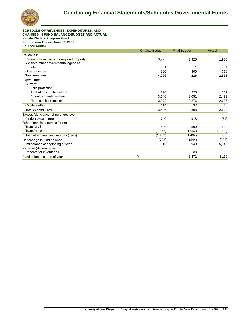

**SCHEDULE OF REVENUES, EXPENDITURES, AND CHANGES IN FUND BALANCE-BUDGET AND ACTUAL Inmate Welfare Program Fund For the Year Ended June 30, 2007 (In Thousands)**

|                                        | <b>Original Budget</b> | <b>Final Budget</b> | Actual   |
|----------------------------------------|------------------------|---------------------|----------|
| Revenues:                              |                        |                     |          |
| Revenue from use of money and property | \$.<br>3,925           | 3,925               | 1,930    |
| Aid from other governmental agencies:  |                        |                     |          |
| <b>State</b>                           |                        |                     | 3        |
| Other revenue                          | 300                    | 300                 | 618      |
| Total revenues                         | 4,226                  | 4,226               | 2,551    |
| Expenditures:                          |                        |                     |          |
| Current:                               |                        |                     |          |
| Public protection:                     |                        |                     |          |
| Probation inmate welfare               | 226                    | 225                 | 107      |
| Sheriff's inmate welfare               | 3,146                  | 3,051               | 2,499    |
| Total public protection                | 3,372                  | 3,276               | 2,606    |
| Capital outlay                         | 114                    | 32                  | 16       |
| Total expenditures                     | 3,486                  | 3,308               | 2,622    |
| Excess (deficiency) of revenues over   |                        |                     |          |
| (under) expenditures                   | 740                    | 918                 | (71)     |
| Other financing sources (uses)         |                        |                     |          |
| Transfers in                           | 500                    | 500                 | 500      |
| Transfers out                          | (1,962)                | (1,962)             | (1, 332) |
| Total other financing sources (uses)   | (1,462)                | (1,462)             | (832)    |
| Net change in fund balance             | (722)                  | (544)               | (903)    |
| Fund balance at beginning of year      | 516                    | 5,949               | 5,949    |
| Increase (decrease) in                 |                        |                     |          |
| Reserve for inventories                |                        | 66                  | 66       |
| Fund balance at end of year            | \$                     | 5,471               | 5,112    |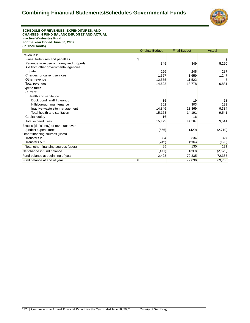

**SCHEDULE OF REVENUES, EXPENDITURES, AND CHANGES IN FUND BALANCE-BUDGET AND ACTUAL Inactive Wastesites Fund For the Year Ended June 30, 2007 (In Thousands)**

|                                        | <b>Original Budget</b> | <b>Final Budget</b> | Actual  |
|----------------------------------------|------------------------|---------------------|---------|
| Revenues:                              |                        |                     |         |
| Fines, forfeitures and penalties       | \$                     |                     |         |
| Revenue from use of money and property | 345                    | 349                 | 5,290   |
| Aid from other governmental agencies:  |                        |                     |         |
| <b>State</b>                           | 256                    | 248                 | 287     |
| Charges for current services           | 1,667                  | 1,659               | 1,247   |
| Other revenue                          | 12.355                 | 11,522              | 5       |
| <b>Total revenues</b>                  | 14,623                 | 13,778              | 6,831   |
| Expenditures:                          |                        |                     |         |
| Current:                               |                        |                     |         |
| Health and sanitation:                 |                        |                     |         |
| Duck pond landfill cleanup             | 15                     | 19                  | 18      |
| Hillsborough maintenance               | 302                    | 303                 | 139     |
| Inactive waste site management         | 14.846                 | 13,869              | 9,384   |
| Total health and sanitation            | 15,163                 | 14,191              | 9,541   |
| Capital outlay                         | 16                     | 16                  |         |
| Total expenditures                     | 15,179                 | 14,207              | 9,541   |
| Excess (deficiency) of revenues over   |                        |                     |         |
| (under) expenditures                   | (556)                  | (429)               | (2,710) |
| Other financing sources (uses)         |                        |                     |         |
| Transfers in                           | 334                    | 334                 | 327     |
| <b>Transfers out</b>                   | (249)                  | (204)               | (196)   |
| Total other financing sources (uses)   | 85                     | 130                 | 131     |
| Net change in fund balance             | (471)                  | (299)               | (2,579) |
| Fund balance at beginning of year      | 2,423                  | 72,335              | 72,335  |
| Fund balance at end of year            | \$                     | 72,036              | 69,756  |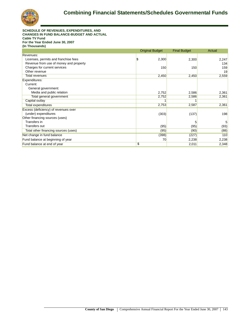

**SCHEDULE OF REVENUES, EXPENDITURES, AND CHANGES IN FUND BALANCE-BUDGET AND ACTUAL Cable TV Fund For the Year Ended June 30, 2007 (In Thousands)**

|                                        | <b>Original Budget</b> | <b>Final Budget</b> | Actual |
|----------------------------------------|------------------------|---------------------|--------|
| Revenues:                              |                        |                     |        |
| Licenses, permits and franchise fees   | 2,300<br>S             | 2,300               | 2,247  |
| Revenue from use of money and property |                        |                     | 134    |
| Charges for current services           | 150                    | 150                 | 159    |
| Other revenue                          |                        |                     | 19     |
| <b>Total revenues</b>                  | 2,450                  | 2,450               | 2,559  |
| Expenditures:                          |                        |                     |        |
| Current:                               |                        |                     |        |
| General government:                    |                        |                     |        |
| Media and public relation              | 2,752                  | 2,586               | 2,361  |
| Total general government               | 2,752                  | 2,586               | 2,361  |
| Capital outlay                         |                        |                     |        |
| Total expenditures                     | 2,753                  | 2,587               | 2,361  |
| Excess (deficiency) of revenues over   |                        |                     |        |
| (under) expenditures                   | (303)                  | (137)               | 198    |
| Other financing sources (uses)         |                        |                     |        |
| Transfers in                           |                        |                     | 5      |
| Transfers out                          | (95)                   | (95)                | (93)   |
| Total other financing sources (uses)   | (95)                   | (90)                | (88)   |
| Net change in fund balance             | (398)                  | (227)               | 110    |
| Fund balance at beginning of year      | 70                     | 2,238               | 2,238  |
| Fund balance at end of year            | \$                     | 2,011               | 2,348  |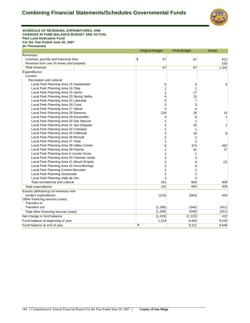

**SCHEDULE OF REVENUES, EXPENDITURES, AND CHANGES IN FUND BALANCE-BUDGET AND ACTUAL Park Land Dedication Fund For the Year Ended June 30, 2007 (In Thousands)**

| Revenues:<br>$\frac{1}{2}$<br>67<br>Licenses, permits and franchise fees<br>67<br>812<br>Revenue from use of money and property<br>530<br>1,342<br>67<br>67<br>Total revenues<br>Expenditures:<br>Current:<br>Recreation and cultural:<br>5<br>Local Park Planning Area 15 Sweetwater<br>6<br>4<br>Local Park Planning Area 16 Otay<br>1<br>Local Park Planning Area 19 Jamul<br>1<br>17<br>Local Park Planning Area 20 Spring Valley<br>13<br>4<br>5<br>Local Park Planning Area 25 Lakeside<br>7<br>Local Park Planning Area 26 Crest<br>3<br>3<br>Local Park Planning Area 27 Alpine<br>4<br>4<br>Local Park Planning Area 28 Ramona<br>128<br>10<br>26<br>Local Park Planning Area 29 Escondido<br>3<br>6<br>Local Park Planning Area 30 San Marcos<br>1<br>1<br>Local Park Planning Area 31 San Dieguito<br>20<br>1<br>4<br>Local Park Planning Area 32 Carlsbad<br>1<br>1<br>16<br>Local Park Planning Area 35 Fallbrook<br>4<br>6<br>2<br>Local Park Planning Area 36 Bonsall<br>$\overline{\mathbf{c}}$<br>Local Park Planning Area 37 Vista<br>1<br>$\overline{2}$<br>8<br>474<br>Local Park Planning Area 38 Valley Center<br>462<br>1<br>27<br>Local Park Planning Area 39 Pauma<br>31<br>Local Park Planning Area 4 Lincoln Acres<br>1<br>1<br>3<br>Local Park Planning Area 40 Palomar-Julian<br>3<br>3<br>Local Park Planning Area 41 Mount Empire<br>6<br>(2)<br>$\overline{c}$<br>Local Park Planning Area 42 Anza-Borrego<br>3<br>$\overline{c}$<br>2<br>Local Park Planning Central Mountain<br>$\mathbf{1}$<br>Local Park Planning Oceanside<br>1<br>Local Park Planning Valle de Oro<br>3<br>4<br>Total recreational and cultural<br>191<br>650<br>509<br>Total expenditures<br>191<br>650<br>509<br>Excess (deficiency) of revenues over<br>(under) expenditures<br>(124)<br>833<br>(583)<br>Other financing sources (uses)<br>Transfers in<br>Transfers out<br>(1, 295)<br>(540)<br>(421)<br>(1, 295)<br>(540)<br>(421)<br>Total other financing sources (uses)<br>(1, 419)<br>(1, 123)<br>412<br>Net change in fund balance<br>Fund balance at beginning of year<br>1,218<br>9,434<br>9,434 |                             | <b>Original Budget</b>   | <b>Final Budget</b> | <b>Actual</b> |
|--------------------------------------------------------------------------------------------------------------------------------------------------------------------------------------------------------------------------------------------------------------------------------------------------------------------------------------------------------------------------------------------------------------------------------------------------------------------------------------------------------------------------------------------------------------------------------------------------------------------------------------------------------------------------------------------------------------------------------------------------------------------------------------------------------------------------------------------------------------------------------------------------------------------------------------------------------------------------------------------------------------------------------------------------------------------------------------------------------------------------------------------------------------------------------------------------------------------------------------------------------------------------------------------------------------------------------------------------------------------------------------------------------------------------------------------------------------------------------------------------------------------------------------------------------------------------------------------------------------------------------------------------------------------------------------------------------------------------------------------------------------------------------------------------------------------------------------------------------------------------------------------------------------------------------------------------------------------------------------------------------------------------------------------------------------------------------------------------------------------|-----------------------------|--------------------------|---------------------|---------------|
|                                                                                                                                                                                                                                                                                                                                                                                                                                                                                                                                                                                                                                                                                                                                                                                                                                                                                                                                                                                                                                                                                                                                                                                                                                                                                                                                                                                                                                                                                                                                                                                                                                                                                                                                                                                                                                                                                                                                                                                                                                                                                                                    |                             |                          |                     |               |
|                                                                                                                                                                                                                                                                                                                                                                                                                                                                                                                                                                                                                                                                                                                                                                                                                                                                                                                                                                                                                                                                                                                                                                                                                                                                                                                                                                                                                                                                                                                                                                                                                                                                                                                                                                                                                                                                                                                                                                                                                                                                                                                    |                             |                          |                     |               |
|                                                                                                                                                                                                                                                                                                                                                                                                                                                                                                                                                                                                                                                                                                                                                                                                                                                                                                                                                                                                                                                                                                                                                                                                                                                                                                                                                                                                                                                                                                                                                                                                                                                                                                                                                                                                                                                                                                                                                                                                                                                                                                                    |                             |                          |                     |               |
|                                                                                                                                                                                                                                                                                                                                                                                                                                                                                                                                                                                                                                                                                                                                                                                                                                                                                                                                                                                                                                                                                                                                                                                                                                                                                                                                                                                                                                                                                                                                                                                                                                                                                                                                                                                                                                                                                                                                                                                                                                                                                                                    |                             |                          |                     |               |
|                                                                                                                                                                                                                                                                                                                                                                                                                                                                                                                                                                                                                                                                                                                                                                                                                                                                                                                                                                                                                                                                                                                                                                                                                                                                                                                                                                                                                                                                                                                                                                                                                                                                                                                                                                                                                                                                                                                                                                                                                                                                                                                    |                             |                          |                     |               |
|                                                                                                                                                                                                                                                                                                                                                                                                                                                                                                                                                                                                                                                                                                                                                                                                                                                                                                                                                                                                                                                                                                                                                                                                                                                                                                                                                                                                                                                                                                                                                                                                                                                                                                                                                                                                                                                                                                                                                                                                                                                                                                                    |                             |                          |                     |               |
|                                                                                                                                                                                                                                                                                                                                                                                                                                                                                                                                                                                                                                                                                                                                                                                                                                                                                                                                                                                                                                                                                                                                                                                                                                                                                                                                                                                                                                                                                                                                                                                                                                                                                                                                                                                                                                                                                                                                                                                                                                                                                                                    |                             |                          |                     |               |
|                                                                                                                                                                                                                                                                                                                                                                                                                                                                                                                                                                                                                                                                                                                                                                                                                                                                                                                                                                                                                                                                                                                                                                                                                                                                                                                                                                                                                                                                                                                                                                                                                                                                                                                                                                                                                                                                                                                                                                                                                                                                                                                    |                             |                          |                     |               |
|                                                                                                                                                                                                                                                                                                                                                                                                                                                                                                                                                                                                                                                                                                                                                                                                                                                                                                                                                                                                                                                                                                                                                                                                                                                                                                                                                                                                                                                                                                                                                                                                                                                                                                                                                                                                                                                                                                                                                                                                                                                                                                                    |                             |                          |                     |               |
|                                                                                                                                                                                                                                                                                                                                                                                                                                                                                                                                                                                                                                                                                                                                                                                                                                                                                                                                                                                                                                                                                                                                                                                                                                                                                                                                                                                                                                                                                                                                                                                                                                                                                                                                                                                                                                                                                                                                                                                                                                                                                                                    |                             |                          |                     |               |
|                                                                                                                                                                                                                                                                                                                                                                                                                                                                                                                                                                                                                                                                                                                                                                                                                                                                                                                                                                                                                                                                                                                                                                                                                                                                                                                                                                                                                                                                                                                                                                                                                                                                                                                                                                                                                                                                                                                                                                                                                                                                                                                    |                             |                          |                     |               |
|                                                                                                                                                                                                                                                                                                                                                                                                                                                                                                                                                                                                                                                                                                                                                                                                                                                                                                                                                                                                                                                                                                                                                                                                                                                                                                                                                                                                                                                                                                                                                                                                                                                                                                                                                                                                                                                                                                                                                                                                                                                                                                                    |                             |                          |                     |               |
|                                                                                                                                                                                                                                                                                                                                                                                                                                                                                                                                                                                                                                                                                                                                                                                                                                                                                                                                                                                                                                                                                                                                                                                                                                                                                                                                                                                                                                                                                                                                                                                                                                                                                                                                                                                                                                                                                                                                                                                                                                                                                                                    |                             |                          |                     |               |
|                                                                                                                                                                                                                                                                                                                                                                                                                                                                                                                                                                                                                                                                                                                                                                                                                                                                                                                                                                                                                                                                                                                                                                                                                                                                                                                                                                                                                                                                                                                                                                                                                                                                                                                                                                                                                                                                                                                                                                                                                                                                                                                    |                             |                          |                     |               |
|                                                                                                                                                                                                                                                                                                                                                                                                                                                                                                                                                                                                                                                                                                                                                                                                                                                                                                                                                                                                                                                                                                                                                                                                                                                                                                                                                                                                                                                                                                                                                                                                                                                                                                                                                                                                                                                                                                                                                                                                                                                                                                                    |                             |                          |                     |               |
|                                                                                                                                                                                                                                                                                                                                                                                                                                                                                                                                                                                                                                                                                                                                                                                                                                                                                                                                                                                                                                                                                                                                                                                                                                                                                                                                                                                                                                                                                                                                                                                                                                                                                                                                                                                                                                                                                                                                                                                                                                                                                                                    |                             |                          |                     |               |
|                                                                                                                                                                                                                                                                                                                                                                                                                                                                                                                                                                                                                                                                                                                                                                                                                                                                                                                                                                                                                                                                                                                                                                                                                                                                                                                                                                                                                                                                                                                                                                                                                                                                                                                                                                                                                                                                                                                                                                                                                                                                                                                    |                             |                          |                     |               |
|                                                                                                                                                                                                                                                                                                                                                                                                                                                                                                                                                                                                                                                                                                                                                                                                                                                                                                                                                                                                                                                                                                                                                                                                                                                                                                                                                                                                                                                                                                                                                                                                                                                                                                                                                                                                                                                                                                                                                                                                                                                                                                                    |                             |                          |                     |               |
|                                                                                                                                                                                                                                                                                                                                                                                                                                                                                                                                                                                                                                                                                                                                                                                                                                                                                                                                                                                                                                                                                                                                                                                                                                                                                                                                                                                                                                                                                                                                                                                                                                                                                                                                                                                                                                                                                                                                                                                                                                                                                                                    |                             |                          |                     |               |
|                                                                                                                                                                                                                                                                                                                                                                                                                                                                                                                                                                                                                                                                                                                                                                                                                                                                                                                                                                                                                                                                                                                                                                                                                                                                                                                                                                                                                                                                                                                                                                                                                                                                                                                                                                                                                                                                                                                                                                                                                                                                                                                    |                             |                          |                     |               |
|                                                                                                                                                                                                                                                                                                                                                                                                                                                                                                                                                                                                                                                                                                                                                                                                                                                                                                                                                                                                                                                                                                                                                                                                                                                                                                                                                                                                                                                                                                                                                                                                                                                                                                                                                                                                                                                                                                                                                                                                                                                                                                                    |                             |                          |                     |               |
|                                                                                                                                                                                                                                                                                                                                                                                                                                                                                                                                                                                                                                                                                                                                                                                                                                                                                                                                                                                                                                                                                                                                                                                                                                                                                                                                                                                                                                                                                                                                                                                                                                                                                                                                                                                                                                                                                                                                                                                                                                                                                                                    |                             |                          |                     |               |
|                                                                                                                                                                                                                                                                                                                                                                                                                                                                                                                                                                                                                                                                                                                                                                                                                                                                                                                                                                                                                                                                                                                                                                                                                                                                                                                                                                                                                                                                                                                                                                                                                                                                                                                                                                                                                                                                                                                                                                                                                                                                                                                    |                             |                          |                     |               |
|                                                                                                                                                                                                                                                                                                                                                                                                                                                                                                                                                                                                                                                                                                                                                                                                                                                                                                                                                                                                                                                                                                                                                                                                                                                                                                                                                                                                                                                                                                                                                                                                                                                                                                                                                                                                                                                                                                                                                                                                                                                                                                                    |                             |                          |                     |               |
|                                                                                                                                                                                                                                                                                                                                                                                                                                                                                                                                                                                                                                                                                                                                                                                                                                                                                                                                                                                                                                                                                                                                                                                                                                                                                                                                                                                                                                                                                                                                                                                                                                                                                                                                                                                                                                                                                                                                                                                                                                                                                                                    |                             |                          |                     |               |
|                                                                                                                                                                                                                                                                                                                                                                                                                                                                                                                                                                                                                                                                                                                                                                                                                                                                                                                                                                                                                                                                                                                                                                                                                                                                                                                                                                                                                                                                                                                                                                                                                                                                                                                                                                                                                                                                                                                                                                                                                                                                                                                    |                             |                          |                     |               |
|                                                                                                                                                                                                                                                                                                                                                                                                                                                                                                                                                                                                                                                                                                                                                                                                                                                                                                                                                                                                                                                                                                                                                                                                                                                                                                                                                                                                                                                                                                                                                                                                                                                                                                                                                                                                                                                                                                                                                                                                                                                                                                                    |                             |                          |                     |               |
|                                                                                                                                                                                                                                                                                                                                                                                                                                                                                                                                                                                                                                                                                                                                                                                                                                                                                                                                                                                                                                                                                                                                                                                                                                                                                                                                                                                                                                                                                                                                                                                                                                                                                                                                                                                                                                                                                                                                                                                                                                                                                                                    |                             |                          |                     |               |
|                                                                                                                                                                                                                                                                                                                                                                                                                                                                                                                                                                                                                                                                                                                                                                                                                                                                                                                                                                                                                                                                                                                                                                                                                                                                                                                                                                                                                                                                                                                                                                                                                                                                                                                                                                                                                                                                                                                                                                                                                                                                                                                    |                             |                          |                     |               |
|                                                                                                                                                                                                                                                                                                                                                                                                                                                                                                                                                                                                                                                                                                                                                                                                                                                                                                                                                                                                                                                                                                                                                                                                                                                                                                                                                                                                                                                                                                                                                                                                                                                                                                                                                                                                                                                                                                                                                                                                                                                                                                                    |                             |                          |                     |               |
|                                                                                                                                                                                                                                                                                                                                                                                                                                                                                                                                                                                                                                                                                                                                                                                                                                                                                                                                                                                                                                                                                                                                                                                                                                                                                                                                                                                                                                                                                                                                                                                                                                                                                                                                                                                                                                                                                                                                                                                                                                                                                                                    |                             |                          |                     |               |
|                                                                                                                                                                                                                                                                                                                                                                                                                                                                                                                                                                                                                                                                                                                                                                                                                                                                                                                                                                                                                                                                                                                                                                                                                                                                                                                                                                                                                                                                                                                                                                                                                                                                                                                                                                                                                                                                                                                                                                                                                                                                                                                    |                             |                          |                     |               |
|                                                                                                                                                                                                                                                                                                                                                                                                                                                                                                                                                                                                                                                                                                                                                                                                                                                                                                                                                                                                                                                                                                                                                                                                                                                                                                                                                                                                                                                                                                                                                                                                                                                                                                                                                                                                                                                                                                                                                                                                                                                                                                                    |                             |                          |                     |               |
|                                                                                                                                                                                                                                                                                                                                                                                                                                                                                                                                                                                                                                                                                                                                                                                                                                                                                                                                                                                                                                                                                                                                                                                                                                                                                                                                                                                                                                                                                                                                                                                                                                                                                                                                                                                                                                                                                                                                                                                                                                                                                                                    |                             |                          |                     |               |
|                                                                                                                                                                                                                                                                                                                                                                                                                                                                                                                                                                                                                                                                                                                                                                                                                                                                                                                                                                                                                                                                                                                                                                                                                                                                                                                                                                                                                                                                                                                                                                                                                                                                                                                                                                                                                                                                                                                                                                                                                                                                                                                    |                             |                          |                     |               |
|                                                                                                                                                                                                                                                                                                                                                                                                                                                                                                                                                                                                                                                                                                                                                                                                                                                                                                                                                                                                                                                                                                                                                                                                                                                                                                                                                                                                                                                                                                                                                                                                                                                                                                                                                                                                                                                                                                                                                                                                                                                                                                                    |                             |                          |                     |               |
|                                                                                                                                                                                                                                                                                                                                                                                                                                                                                                                                                                                                                                                                                                                                                                                                                                                                                                                                                                                                                                                                                                                                                                                                                                                                                                                                                                                                                                                                                                                                                                                                                                                                                                                                                                                                                                                                                                                                                                                                                                                                                                                    |                             |                          |                     |               |
|                                                                                                                                                                                                                                                                                                                                                                                                                                                                                                                                                                                                                                                                                                                                                                                                                                                                                                                                                                                                                                                                                                                                                                                                                                                                                                                                                                                                                                                                                                                                                                                                                                                                                                                                                                                                                                                                                                                                                                                                                                                                                                                    |                             |                          |                     |               |
|                                                                                                                                                                                                                                                                                                                                                                                                                                                                                                                                                                                                                                                                                                                                                                                                                                                                                                                                                                                                                                                                                                                                                                                                                                                                                                                                                                                                                                                                                                                                                                                                                                                                                                                                                                                                                                                                                                                                                                                                                                                                                                                    |                             |                          |                     |               |
|                                                                                                                                                                                                                                                                                                                                                                                                                                                                                                                                                                                                                                                                                                                                                                                                                                                                                                                                                                                                                                                                                                                                                                                                                                                                                                                                                                                                                                                                                                                                                                                                                                                                                                                                                                                                                                                                                                                                                                                                                                                                                                                    |                             |                          |                     |               |
|                                                                                                                                                                                                                                                                                                                                                                                                                                                                                                                                                                                                                                                                                                                                                                                                                                                                                                                                                                                                                                                                                                                                                                                                                                                                                                                                                                                                                                                                                                                                                                                                                                                                                                                                                                                                                                                                                                                                                                                                                                                                                                                    |                             |                          |                     |               |
|                                                                                                                                                                                                                                                                                                                                                                                                                                                                                                                                                                                                                                                                                                                                                                                                                                                                                                                                                                                                                                                                                                                                                                                                                                                                                                                                                                                                                                                                                                                                                                                                                                                                                                                                                                                                                                                                                                                                                                                                                                                                                                                    | Fund balance at end of year | $\overline{\mathcal{L}}$ | 8,311               | 9,846         |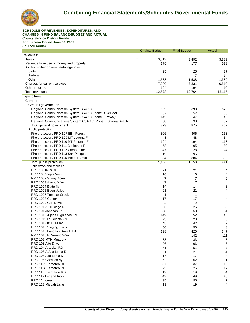

**SCHEDULE OF REVENUES, EXPENDITURES, AND CHANGES IN FUND BALANCE-BUDGET AND ACTUAL County Service District Funds For the Year Ended June 30, 2007 (In Thousands)**

|                                                            | <b>Original Budget</b> | <b>Final Budget</b> | Actual         |
|------------------------------------------------------------|------------------------|---------------------|----------------|
| Revenues:                                                  |                        |                     |                |
| Taxes                                                      | \$<br>3,312            | 3,492               | 3,889          |
| Revenue from use of money and property                     | 179                    | 177                 | 966            |
| Aid from other governmental agencies:                      |                        |                     |                |
| <b>State</b>                                               | 25                     | 25                  | 37             |
| Federal                                                    |                        | 7                   | 14             |
| Other                                                      | 1,538                  | 1,538               | 1,389          |
| Charges for current services                               | 7,330                  | 7,331               | 6,810          |
| Other revenue                                              | 194                    | 194                 | 10             |
| Total revenues                                             | 12,578                 | 12,764              | 13,115         |
| Expenditures:                                              |                        |                     |                |
| Current:                                                   |                        |                     |                |
| General government:                                        |                        |                     |                |
| Regional Communication System CSA 135                      | 633                    | 633                 | 623            |
| Regional Communication System CSA 135 Zone B Del Mar       | 57                     | 57                  | 56             |
| Regional Communication System CSA 135 Zone F Poway         | 145                    | 147                 | 146            |
| Regional Communications System CSA 135 Zone H Solana Beach | 38                     | 38                  | 37             |
| Total general government                                   | 873                    | 875                 | 862            |
| Public protection:                                         |                        |                     |                |
| Fire protection, PRD 107 Elfin Forest                      | 306                    | 306                 | 253            |
| Fire protection, PRD 109 MT Laguna F                       | 48                     | 48                  | 34             |
| Fire protection, PRD 110 MT Palomar F                      | 194                    | 194                 | 118            |
| Fire protection, PRD 111 Boulevard F                       | 58                     | 95                  | 80             |
| Fire protection, PRD 112 Campo Fire                        | 47                     | 28                  | 24             |
| Fire protection, PRD 113 San Pasqual                       | 119                    | 95                  | 50             |
| Fire protection, PRD 115 Pepper Drive                      | 384                    | 384                 | 382            |
| Total public protection                                    | 1,156                  | 1,150               | 941            |
| Public ways and facilities:                                |                        |                     |                |
| PRD 10 Davis Dr                                            | 21                     | 21                  | 4              |
| PRD 100 Viejas View                                        | 16                     | 16                  | 4              |
| PRD 1002 Sunny Acres                                       | 7                      | 7                   | $\overline{2}$ |
| PRD 1003 Alamo Way                                         | 7                      | $\overline{7}$      |                |
| PRD 1004 Butterfly                                         | 14                     | 14                  | 2              |
| PRD 1005 Eden Valley                                       | 21                     | 21                  | 4              |
| PRD 1007 Tumbler Creek                                     | 1                      | 1                   |                |
| PRD 1008 Canter                                            | 17                     | 17                  | 4              |
| PRD 1009 Golf Drive                                        | 2                      | $\overline{2}$      |                |
| PRD 101 A Hi-Ridge R                                       | 25                     | 25                  | 3              |
| PRD 101 Johnson LK                                         | 58                     | 58                  | 4              |
| PRD 1010 Alpine Highlands ZN                               | 149                    | 152                 | 143            |
| PRD 1011 La Cuesta ZN                                      | 23                     | 23                  | 6              |
| PRD 1012 8112 Millar                                       | 45                     | 42                  | 2              |
| PRD 1013 Singing Trails                                    | 50                     | 50                  | 8              |
| PRD 1015 Landavo Drive ET AL                               | 198                    | 420                 | 347            |
| PRD 1016 El Sereno Way                                     |                        | 142                 | 111            |
| PRD 102 MTN Meadow                                         | 83                     | 83                  | 8              |
| PRD 103 Alto Drive                                         | 96                     | 96                  | 6              |
| PRD 104 Artesian RO                                        | 51                     | 51                  | $\overline{7}$ |
| PRD 105 A Alta Loma D                                      | 21                     | 21                  | 4              |
| PRD 105 Alta Loma D                                        | 17                     | 17                  | 4              |
| PRD 106 Garrison Ay                                        | 62                     | 62                  | 11             |
| PRD 11 A Bernardo RD                                       | 37                     | 37                  | 16             |
| PRD 11 A Bernardo RD                                       | 25                     | 25                  | 17             |
| PRD 11 D Bernardo RD                                       | 19                     | 19                  | 4              |
| PRD 117 Legend Rock                                        | 42                     | 49                  | 48             |
| PRD 12 Lomair                                              | 95                     | 95                  | $\overline{7}$ |
| PRD 123 Mizpah Lane                                        | 19                     | 19                  | $\overline{4}$ |
|                                                            |                        |                     |                |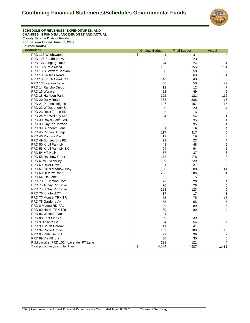

**SCHEDULE OF REVENUES, EXPENDITURES, AND CHANGES IN FUND BALANCE-BUDGET AND ACTUAL County Service District Funds For the Year Ended June 30, 2007 (In Thousands)**

| (Continued)                             | <b>Original Budget</b>           | <b>Final Budget</b> | Actual                  |
|-----------------------------------------|----------------------------------|---------------------|-------------------------|
| PRD 125 Wrightwood                      | $\overline{\mathbb{S}}$<br>41    | 41                  | $6\overline{6}$         |
| PRD 126 Sandhurst W                     | 23                               | 23                  | 5                       |
| PRD 127 Singing Trails                  | 24                               | 24                  | $\overline{4}$          |
| PRD 13 A Pala Mesa                      | 155                              | 155                 | 134                     |
| PRD 13 B Stewart Canyon                 | 58                               | 58                  | 39                      |
| PRD 130 Wilkes Road                     | 83                               | 69                  | 31                      |
| PRD 133 Rnch Creek Rd                   | 40                               | 40                  | 5                       |
| PRD 134 Kenora Lane                     | 50                               | 50                  | 29                      |
| PRD 14 Rancho Diego                     | 12                               | 12                  | $\overline{7}$          |
| PRD 16 Wynola                           | 52                               | 49                  | 9                       |
| PRD 18 Harrison Park                    | 122                              | 121                 | 116                     |
| PRD 20 Daily Road                       | 288                              | 288                 | 18                      |
| PRD 21 Pauma Heights                    | 107                              | 107                 | 15                      |
| PRD 22 W Dougherty St                   | 20                               | 20                  | 4                       |
| PRD 23 Rock Terrce RD                   | 6                                | 6                   | $\overline{\mathbf{c}}$ |
| PRD 24 MT Whitney RD                    | 54                               | 54                  | 1                       |
| PRD 30 Royal Oaks-CAR                   | 35                               | 35                  | 4                       |
| PRD 38 Gay Rio Terrace                  | 35                               | 35                  | 4                       |
| PRD 39 Sunbeam Lane                     | 9                                | 9                   | 4                       |
| PRD 45 Rincon Springs                   | 117                              | 117                 | 5                       |
| PRD 46 Rocoso Road                      | 19                               | 19                  | 3                       |
| PRD 49 Sunset Knls RD                   | 23                               | 23                  | 4                       |
| PRD 50 Knoll Park LN                    | 48                               | 48                  | 5                       |
| PRD 53 Knoll Park LN EX                 | 94                               | 94                  | 5                       |
| PRD 54 MT Helix                         | 37                               | 37                  | 8                       |
| PRD 55 Rainbow Crest                    | 178                              | 178                 | 8                       |
| PRD 6 Pauma Valley                      | 229                              | 229                 | 28                      |
| PRD 60 River Drive                      | 31                               | 31                  | 5                       |
| PRD 61 GRN Meadow Way                   | 88                               | 88                  | 44                      |
| PRD 63 Hillview Road                    | 206                              | 206                 | 51                      |
| PRD 64 Lila Lane                        | 5                                | 5                   | 3                       |
| PRD 70 El Camino Cort                   | 26                               | 26                  | $\overline{4}$          |
| PRD 75 A Gay Rio Drive                  | 76                               | 76                  | 5                       |
| PRD 75 B Gay Rio Drive                  | 123                              | 123                 | 6                       |
| PRD 76 Kingford CT                      | 17                               | 17                  | 3                       |
| PRD 77 Montiel TRK TR                   | 75                               | 75                  | 18                      |
| PRD 78 Gardena Ay                       | 55                               | 55                  | $\overline{7}$          |
| PRD 8 Magee RD-PAL                      | 89                               | 89                  | 5                       |
| PRD 80 Harris TRK TRL                   | 89                               | 89                  | $\overline{4}$          |
| PRD 86 Watson Place                     | 1                                | 1                   |                         |
| PRD 88 East Fifth St                    | 39                               | 39                  | 3                       |
| PRD 9 B Santa Fe                        | 54                               | 54                  | $\overline{7}$          |
| PRD 90 South Cordov                     | 41                               | 41                  | 6                       |
| PRD 94 Roble Grnde                      | 189                              | 189                 | 15                      |
| PRD 95 Valle Del Sol                    | 99                               | 99                  | $\overline{7}$          |
| PRD 99 Via Allndra                      | 30                               | 30                  | 5                       |
| Public works, PRD 1014 Lavender PT Lane | 121                              | 121                 | 4                       |
| Total public ways and facilities        | $\overline{\mathbb{S}}$<br>4,634 | 4,987               | 1,485                   |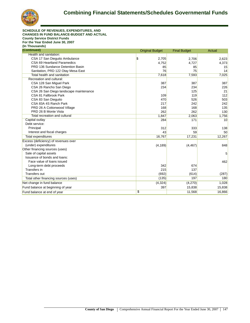

| <b>SCHEDULE OF REVENUES, EXPENDITURES, AND</b>   |                        |                     |        |
|--------------------------------------------------|------------------------|---------------------|--------|
| <b>CHANGES IN FUND BALANCE-BUDGET AND ACTUAL</b> |                        |                     |        |
| <b>County Service District Funds</b>             |                        |                     |        |
| For the Year Ended June 30, 2007                 |                        |                     |        |
| (In Thousands)                                   |                        |                     |        |
| (Continued)                                      | <b>Original Budget</b> | <b>Final Budget</b> | Actual |
| Health and sanitation:                           |                        |                     |        |
| CSA 17 San Dieguito Ambulance                    | \$<br>2,705            | 2.706               | 2,623  |
| CSA 69 Heartland Paramedics                      | 4,752                  | 4,727               | 4,373  |
| PRD 136 Sundance Detention Basin                 | 85                     | 85                  | 15     |
| Sanitation, PRD 122 Otay Mesa East               | 76                     | 75                  | 14     |
| <b>Total health and sanitation</b>               | 7,618                  | 7,593               | 7,025  |
| Recreation and cultural:                         |                        |                     |        |
| CSA 128 San Miguel Park                          | 387                    | 387                 | 387    |
| CSA 26 Rancho San Diego                          | 234                    | 234                 | 226    |
| CSA 26 San Diego landscape maintenance           |                        | 125                 | 21     |
| CSA 81 Fallbrook Park                            | 109                    | 119                 | 112    |
| CSA 83 San Dieguito                              | 470                    | 526                 | 503    |
| CSA 83A 4S Ranch Park                            | 217                    | 242                 | 242    |
| PRD 26 A Cottonwood Village                      | 168                    | 168                 | 135    |
| PRD 26 B Monte Vista                             | 262                    | 262                 | 130    |
| Total recreation and cultural                    | 1,847                  | 2,063               | 1,756  |
| Capital outlay                                   | 284                    | 171                 | 10     |
| Debt service:                                    |                        |                     |        |
| Principal                                        | 312                    | 333                 | 138    |
| Interest and fiscal charges                      | 43                     | 59                  | 50     |
| Total expenditures                               | 16,767                 | 17,231              | 12,267 |
| Excess (deficiency) of revenues over             |                        |                     |        |
| (under) expenditures                             | (4, 189)               | (4, 467)            | 848    |
| Other financing sources (uses)                   |                        |                     |        |
| Sale of capital assets                           |                        |                     | 5      |
| Issuance of bonds and loans:                     |                        |                     |        |
| Face value of loans issued                       |                        |                     | 462    |
| Long-term debt proceeds                          | 342                    | 674                 |        |
| Transfers in                                     | 215                    | 137                 |        |
| Transfers out                                    | (692)                  | (614)               | (287)  |
| Total other financing sources (uses)             | (135)                  | 197                 | 180    |
| Net change in fund balance                       | (4,324)                | (4,270)             | 1,028  |
| Fund balance at beginning of year                | 397                    | 15,838              | 15,838 |
| Fund balance at end of year                      | \$                     | 11,568              | 16,866 |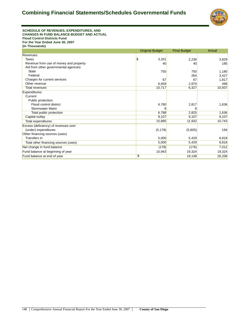

#### **SCHEDULE OF REVENUES, EXPENDITURES, AND CHANGES IN FUND BALANCE-BUDGET AND ACTUAL Flood Control Districts Fund For the Year Ended June 30, 2007 (In Thousands)**

|                                        | <b>Original Budget</b> | <b>Final Budget</b> | <b>Actual</b> |
|----------------------------------------|------------------------|---------------------|---------------|
| Revenues:                              |                        |                     |               |
| Taxes                                  | \$<br>3,201            | 2,236               | 3,829         |
| Revenue from use of money and property | 40                     | 40                  | 185           |
| Aid from other governmental agencies:  |                        |                     |               |
| <b>State</b>                           | 750                    | 750                 | 1,180         |
| Federal                                |                        | 264                 | 3,427         |
| Charges for current services           | 67                     | 67                  | 1,817         |
| Other revenue                          | 6,659                  | 2,970               | 499           |
| Total revenues                         | 10,717                 | 6,327               | 10,937        |
| Expenditures:                          |                        |                     |               |
| Current:                               |                        |                     |               |
| Public protection:                     |                        |                     |               |
| Flood control district                 | 6,780                  | 2,817               | 1,636         |
| <b>Stormwater Maint</b>                | 8                      | 8                   |               |
| Total public protection                | 6,788                  | 2,825               | 1,636         |
| Capital outlay                         | 9,107                  | 9,107               | 9,107         |
| Total expenditures                     | 15,895                 | 11,932              | 10,743        |
| Excess (deficiency) of revenues over   |                        |                     |               |
| (under) expenditures                   | (5, 178)               | (5,605)             | 194           |
| Other financing sources (uses)         |                        |                     |               |
| Transfers in                           | 5,000                  | 5,429               | 6,818         |
| Total other financing sources (uses)   | 5,000                  | 5,429               | 6,818         |
| Net change in fund balance             | (178)                  | (176)               | 7,012         |
| Fund balance at beginning of year      | 10,943                 | 19,324              | 19,324        |
| Fund balance at end of year            | \$                     | 19,148              | 26,336        |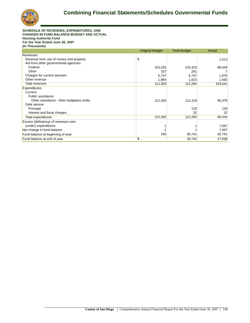

#### **SCHEDULE OF REVENUES, EXPENDITURES, AND CHANGES IN FUND BALANCE-BUDGET AND ACTUAL Housing Authority Fund For the Year Ended June 30, 2007 (In Thousands)**

|                                           | <b>Original Budget</b> | <b>Final Budget</b> | Actual  |
|-------------------------------------------|------------------------|---------------------|---------|
| Revenues:                                 |                        |                     |         |
| Revenue from use of money and property    | \$                     |                     | 1,613   |
| Aid from other governmental agencies:     |                        |                     |         |
| Federal                                   | 103,425                | 103,423             | 98,559  |
| Other                                     | 337                    | 291                 |         |
| Charges for current services              | 6,747                  | 6,747               | 1,870   |
| Other revenue                             | 1,884                  | 1,823               | 1,592   |
| Total revenues                            | 112,393                | 112,284             | 103,641 |
| Expenditures:                             |                        |                     |         |
| Current:                                  |                        |                     |         |
| Public assistance:                        |                        |                     |         |
| Other assistance - other budgetary entity | 112,392                | 112,118             | 96,379  |
| Debt service:                             |                        |                     |         |
| Principal                                 |                        | 133                 | 133     |
| Interest and fiscal charges               |                        | 32                  | 32      |
| Total expenditures                        | 112,392                | 112,283             | 96,544  |
| Excess (deficiency) of revenues over      |                        |                     |         |
| (under) expenditures                      |                        |                     | 7,097   |
| Net change in fund balance                |                        |                     | 7,097   |
| Fund balance at beginning of year         | 195                    | 30,741              | 30,741  |
| Fund balance at end of year               | \$                     | 30,742              | 37,838  |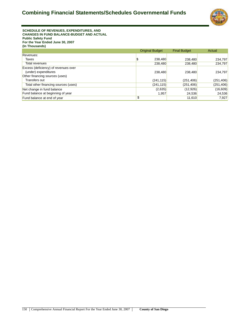

**SCHEDULE OF REVENUES, EXPENDITURES, AND CHANGES IN FUND BALANCE-BUDGET AND ACTUAL Public Safety Fund For the Year Ended June 30, 2007 (In Thousands)**

|                                      | <b>Original Budget</b> | <b>Final Budget</b> | Actual     |
|--------------------------------------|------------------------|---------------------|------------|
| Revenues:                            |                        |                     |            |
| Taxes                                | 238,480<br>D           | 238,480             | 234,797    |
| Total revenues                       | 238,480                | 238,480             | 234,797    |
| Excess (deficiency) of revenues over |                        |                     |            |
| (under) expenditures                 | 238,480                | 238,480             | 234,797    |
| Other financing sources (uses)       |                        |                     |            |
| Transfers out                        | (241, 115)             | (251, 406)          | (251, 406) |
| Total other financing sources (uses) | (241, 115)             | (251, 406)          | (251, 406) |
| Net change in fund balance           | (2,635)                | (12,926)            | (16, 609)  |
| Fund balance at beginning of year    | 1,957                  | 24,536              | 24,536     |
| Fund balance at end of year          | \$                     | 11,610              | 7,927      |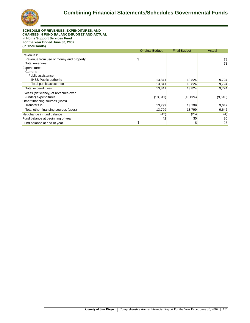

**SCHEDULE OF REVENUES, EXPENDITURES, AND CHANGES IN FUND BALANCE-BUDGET AND ACTUAL In Home Support Services Fund For the Year Ended June 30, 2007 (In Thousands)**

|                                        | <b>Original Budget</b> | <b>Final Budget</b> | Actual  |
|----------------------------------------|------------------------|---------------------|---------|
| Revenues:                              |                        |                     |         |
| Revenue from use of money and property | \$                     |                     | 78      |
| Total revenues                         |                        |                     | 78      |
| Expenditures:                          |                        |                     |         |
| Current:                               |                        |                     |         |
| Public assistance:                     |                        |                     |         |
| <b>IHSS Public authority</b>           | 13,841                 | 13,824              | 9,724   |
| Total public assistance                | 13,841                 | 13,824              | 9,724   |
| Total expenditures                     | 13,841                 | 13,824              | 9,724   |
| Excess (deficiency) of revenues over   |                        |                     |         |
| (under) expenditures                   | (13, 841)              | (13, 824)           | (9,646) |
| Other financing sources (uses)         |                        |                     |         |
| Transfers in                           | 13,799                 | 13,799              | 9,642   |
| Total other financing sources (uses)   | 13,799                 | 13,799              | 9,642   |
| Net change in fund balance             | (42)                   | (25)                | (4)     |
| Fund balance at beginning of year      | 42                     | 30                  | 30      |
| Fund balance at end of year            | \$                     | 5                   | 26      |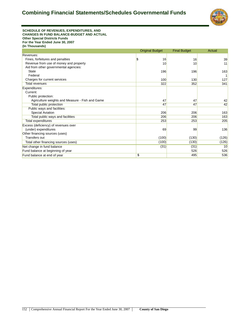

#### **SCHEDULE OF REVENUES, EXPENDITURES, AND CHANGES IN FUND BALANCE-BUDGET AND ACTUAL Other Special Districts Funds For the Year Ended June 30, 2007 (In Thousands)**

|                                                 | <b>Original Budget</b> | <b>Final Budget</b> | Actual |
|-------------------------------------------------|------------------------|---------------------|--------|
| Revenues:                                       |                        |                     |        |
| Fines, forfeitures and penalties                | \$<br>16               | 16                  | 39     |
| Revenue from use of money and property          | 10                     | 10                  | 11     |
| Aid from other governmental agencies:           |                        |                     |        |
| <b>State</b>                                    | 196                    | 196                 | 163    |
| Federal                                         |                        |                     |        |
| Charges for current services                    | 100                    | 130                 | 127    |
| <b>Total revenues</b>                           | 322                    | 352                 | 341    |
| Expenditures:                                   |                        |                     |        |
| Current:                                        |                        |                     |        |
| Public protection:                              |                        |                     |        |
| Agriculture weights and Measure - Fish and Game | 47                     | 47                  | 42     |
| Total public protection                         | 47                     | 47                  | 42     |
| Public ways and facilities:                     |                        |                     |        |
| Special Aviation                                | 206                    | 206                 | 163    |
| Total public ways and facilities                | 206                    | 206                 | 163    |
| Total expenditures                              | 253                    | 253                 | 205    |
| Excess (deficiency) of revenues over            |                        |                     |        |
| (under) expenditures                            | 69                     | 99                  | 136    |
| Other financing sources (uses)                  |                        |                     |        |
| Transfers out                                   | (100)                  | (130)               | (126)  |
| Total other financing sources (uses)            | (100)                  | (130)               | (126)  |
| Net change in fund balance                      | (31)                   | (31)                | 10     |
| Fund balance at beginning of year               |                        | 526                 | 526    |
| Fund balance at end of year                     | \$                     | 495                 | 536    |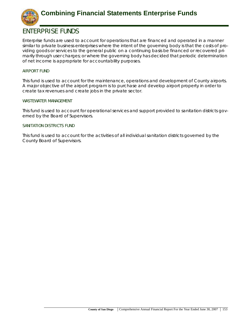

## **ENTERPRISE FUNDS**

Enterprise funds are used to account for operations that are financed and operated in a manner similar to private business enterprises where the intent of the governing body is that the costs of providing goods or services to the general public on a continuing basis be financed or recovered primarily through user charges; or where the governing body has decided that periodic determination of net income is appropriate for accountability purposes.

## **AIRPORT FUND**

This fund is used to account for the maintenance, operations and development of County airports. A major objective of the airport program is to purchase and develop airport property in order to create tax revenues and create jobs in the private sector.

## **WASTEWATER MANAGEMENT**

This fund is used to account for operational services and support provided to sanitation districts governed by the Board of Supervisors.

## **SANITATION DISTRICTS FUND**

This fund is used to account for the activities of all individual sanitation districts governed by the County Board of Supervisors.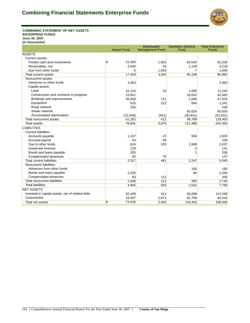

**COMBINING STATEMENT OF NET ASSETS ENTERPRISE FUNDS June 30, 2007 (In thousands)**

|                                                 |                     | Wastewater             | <b>Sanitation Districts</b> | <b>Total Enterprise</b> |
|-------------------------------------------------|---------------------|------------------------|-----------------------------|-------------------------|
|                                                 | <b>Airport Fund</b> | <b>Management Fund</b> | Fund                        | Funds                   |
| <b>ASSETS</b>                                   |                     |                        |                             |                         |
| Current assets:                                 |                     |                        |                             |                         |
| Pooled cash and investments                     | \$<br>15,383        | 1,602                  | 64,043                      | 81,028                  |
| Receivables, net                                | 2,040               | 29                     | 1,149                       | 3,218                   |
| Due from other funds                            | 6                   | 1,633                  | 7                           | 1,646                   |
| <b>Total current assets</b>                     | 17,429              | 3,264                  | 65,199                      | 85,892                  |
| Noncurrent assets:                              |                     |                        |                             |                         |
| Advances to other funds                         | 3,363               |                        |                             | 3,363                   |
| Capital assets:                                 |                     |                        |                             |                         |
| Land                                            | 10,154              | 20                     | 1.069                       | 11,243                  |
| Construction and contracts in progress          | 23,951              |                        | 18,632                      | 42,583                  |
| Buildings and improvements                      | 45,083              | 721                    | 1,699                       | 47,503                  |
| Equipment                                       | 525                 | 222                    | 594                         | 1,341                   |
| Road network                                    | 235                 |                        |                             | 235                     |
| Sewer network                                   |                     |                        | 65,626                      | 65,626                  |
| Accumulated depreciation                        | (22, 049)           | (551)                  | (30, 831)                   | (53, 431)               |
| <b>Total noncurrent assets</b>                  | 61,262              | 412                    | 56,789                      | 118,463                 |
| Total assets                                    | 78,691              | 3,676                  | 121,988                     | 204,355                 |
| <b>LIABILITIES</b>                              |                     |                        |                             |                         |
| <b>Current liabilities:</b>                     |                     |                        |                             |                         |
| Accounts payable                                | 1,247               | 22                     | 556                         | 1,825                   |
| Accrued payroll                                 | 50                  | 59                     |                             | 109                     |
| Due to other funds                              | 624                 | 325                    | 1,688                       | 2,637                   |
| Unearned revenue                                | 129                 |                        | 2                           | 131                     |
| Bonds and loans payable                         | 205                 |                        | 1                           | 206                     |
| Compensated absences                            | 62                  | 75                     |                             | 137                     |
| <b>Total current liabilities</b>                | 2,317               | 481                    | 2,247                       | 5,045                   |
| Noncurrent liabilities:                         |                     |                        |                             |                         |
| Advances from other funds                       |                     |                        | 195                         | 195                     |
| Bonds and loans payable                         | 2,255               |                        | 90                          | 2,345                   |
| Compensated absences                            | 93                  | 112                    |                             | 205                     |
| <b>Total noncurrent liabilities</b>             | 2,348               | 112                    | 285                         | 2,745                   |
| <b>Total liabilities</b>                        | 4,665               | 593                    | 2,532                       | 7,790                   |
| <b>NET ASSETS</b>                               |                     |                        |                             |                         |
| Invested in capital assets, net of related debt | 55,439              | 412                    | 56,698                      | 112,549                 |
| Unrestricted                                    | 18,587              | 2,671                  | 62,758                      | 84,016                  |
| Total net assets                                | \$<br>74,026        | 3,083                  | 119,456                     | 196,565                 |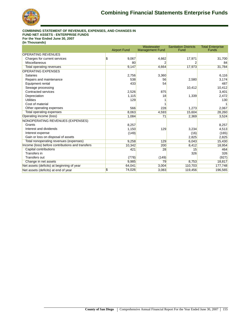

#### **COMBINING STATEMENT OF REVENUES, EXPENSES, AND CHANGES IN FUND NET ASSETS - ENTERPRISE FUNDS For the Year Ended June 30, 2007 (In Thousands)**

|                                                  | <b>Airport Fund</b> | Wastewater<br><b>Management Fund</b> | <b>Sanitation Districts</b><br>Fund | <b>Total Enterprise</b><br><b>Funds</b> |
|--------------------------------------------------|---------------------|--------------------------------------|-------------------------------------|-----------------------------------------|
| <b>OPERATING REVENUES</b>                        |                     |                                      |                                     |                                         |
| Charges for current services                     | \$<br>9,067         | 4,662                                | 17,971                              | 31,700                                  |
| Miscellaneous                                    | 80                  |                                      |                                     | 84                                      |
| <b>Total operating revenues</b>                  | 9,147               | 4,664                                | 17,973                              | 31,784                                  |
| <b>OPERATING EXPENSES</b>                        |                     |                                      |                                     |                                         |
| <b>Salaries</b>                                  | 2,756               | 3,360                                |                                     | 6,116                                   |
| Repairs and maintenance                          | 538                 | 56                                   | 2,580                               | 3,174                                   |
| Equipment rental                                 | 433                 | 54                                   |                                     | 487                                     |
| Sewage processing                                |                     |                                      | 10,412                              | 10,412                                  |
| Contracted services                              | 2,526               | 875                                  |                                     | 3,401                                   |
| Depreciation                                     | 1,115               | 18                                   | 1,339                               | 2,472                                   |
| <b>Utilities</b>                                 | 129                 |                                      |                                     | 130                                     |
| Cost of material                                 |                     |                                      |                                     |                                         |
| Other operating expenses                         | 566                 | 228                                  | 1,273                               | 2,067                                   |
| <b>Total operating expenses</b>                  | 8,063               | 4,593                                | 15,604                              | 28,260                                  |
| Operating income (loss)                          | 1,084               | 71                                   | 2,369                               | 3,524                                   |
| NONOPERATING REVENUES (EXPENSES)                 |                     |                                      |                                     |                                         |
| Grants                                           | 8,257               |                                      |                                     | 8,257                                   |
| Interest and dividends                           | 1,150               | 129                                  | 3,234                               | 4,513                                   |
| Interest expense                                 | (149)               |                                      | (16)                                | (165)                                   |
| Gain or loss on disposal of assets               |                     |                                      | 2,825                               | 2,825                                   |
| Total nonoperating revenues (expenses)           | 9,258               | 129                                  | 6,043                               | 15,430                                  |
| Income (loss) before contributions and transfers | 10,342              | 200                                  | 8,412                               | 18,954                                  |
| <b>Capital contributions</b>                     | 421                 | 28                                   | 15                                  | 464                                     |
| Transfers in                                     |                     |                                      | 326                                 | 326                                     |
| <b>Transfers out</b>                             | (778)               | (149)                                |                                     | (927)                                   |
| Change in net assets                             | 9,985               | 79                                   | 8,753                               | 18,817                                  |
| Net assets (deficits) at beginning of year       | 64,041              | 3,004                                | 110,703                             | 177,748                                 |
| Net assets (deficits) at end of year             | \$<br>74,026        | 3,083                                | 119,456                             | 196,565                                 |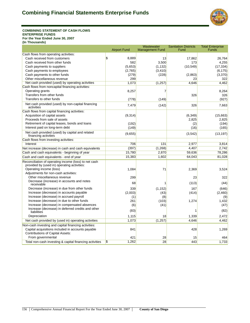

**COMBINING STATEMENT OF CASH FLOWS ENTERPRISE FUNDS For the Year Ended June 30, 2007 (In Thousands)**

|                                                                                                      | <b>Airport Fund</b> | Wastewater<br><b>Management Fund</b> | <b>Sanitation Districts</b><br>Fund | <b>Total Enterprise</b><br><b>Funds</b> |
|------------------------------------------------------------------------------------------------------|---------------------|--------------------------------------|-------------------------------------|-----------------------------------------|
| Cash flows from operating activities:                                                                |                     |                                      |                                     |                                         |
| Cash received from customers                                                                         | \$<br>8,889         | 13                                   | 17,862                              | 26,764                                  |
| Cash received from other funds                                                                       | 582                 | 3,500                                | 173                                 | 4,255                                   |
| Cash payments to suppliers                                                                           | (5,653)             | (1, 132)                             | (10, 549)                           | (17, 334)                               |
| Cash payments to employees                                                                           | (2,765)             | (3, 410)                             |                                     | (6, 175)                                |
| Cash payments to other funds                                                                         | (279)               | (228)                                | (2,863)                             | (3,370)                                 |
| Other miscellaneous revenue                                                                          | 299                 |                                      | 23                                  | 322                                     |
| Net cash provided (used) by operating activities                                                     | 1,073               | (1, 257)                             | 4,646                               | 4,462                                   |
| Cash flows from noncapital financing activities:                                                     |                     |                                      |                                     |                                         |
| Operating grants                                                                                     | 8,257               | 7                                    |                                     | 8,264                                   |
| Transfers from other funds                                                                           |                     |                                      | 326                                 | 326                                     |
| Transfers to other funds                                                                             | (778)               | (149)                                |                                     | (927)                                   |
| Net cash provided (used) by non-capital financing<br>activities                                      | 7,479               | (142)                                | 326                                 | 7,663                                   |
| Cash flows from capital financing activities:                                                        |                     |                                      |                                     |                                         |
| Acquisition of capital assets                                                                        | (9,314)             |                                      | (6, 349)                            | (15,663)                                |
| Proceeds from sale of assets                                                                         |                     |                                      | 2,825                               | 2,825                                   |
| Retirement of capital leases, bonds and loans                                                        | (192)               |                                      | (2)                                 | (194)                                   |
| Interest paid on long-term debt                                                                      | (149)               |                                      | (16)                                | (165)                                   |
| Net cash provided (used) by capital and related<br>financing activities                              | (9,655)             |                                      | (3, 542)                            | (13, 197)                               |
| Cash flows from investing activities:                                                                |                     |                                      |                                     |                                         |
| Interest                                                                                             | 706                 | 131                                  | 2,977                               | 3,814                                   |
| Net increase (decrease) in cash and cash equivalents                                                 | (397)               | (1,268)                              | 4,407                               | 2,742                                   |
| Cash and cash equivalents - beginning of year                                                        | 15,780              | 2,870                                | 59,636                              | 78,286                                  |
| Cash and cash equivalents - end of year                                                              | 15,383              | 1,602                                | 64,043                              | 81,028                                  |
| Reconciliation of operating income (loss) to net cash<br>provided by (used in) operating activities: |                     |                                      |                                     |                                         |
| Operating income (loss)                                                                              | 1,084               | 71                                   | 2,369                               | 3,524                                   |
| Adjustments for non-cash activities:                                                                 |                     |                                      |                                     |                                         |
| Other miscellaneous revenue                                                                          | 299                 |                                      | 23                                  | 322                                     |
| Decrease (increase) in accounts and notes<br>receivable                                              | 68                  | 1                                    | (113)                               | (44)                                    |
| Decrease (increase) in due from other funds                                                          | 339                 | (1, 152)                             | 167                                 | (646)                                   |
| Increase (decrease) in accounts payable                                                              | (2,003)             | (43)                                 | (414)                               | (2,460)                                 |
| Increase (decrease) in accrued payroll                                                               | (1)                 | (8)                                  |                                     | (9)                                     |
| Increase (decrease) in due to other funds                                                            | 261                 | (103)                                | 1,274                               | 1,432                                   |
| Increase (decrease) in compensated absences                                                          | (6)                 | (41)                                 |                                     | (47)                                    |
| Increase (decrease) in deferred credits and other<br>liabilities                                     | (83)                |                                      | 1                                   | (82)                                    |
| Depreciation                                                                                         | 1,115               | 18                                   | 1,339                               | 2.472                                   |
| Net cash provided by (used in) operating activities                                                  | 1,073               | (1, 257)                             | 4,646                               | 4,462                                   |
| Non-cash investing and capital financing activities:                                                 |                     |                                      |                                     |                                         |
| Capital acquisitions included in accounts payable<br><b>Contributions of Capital Assets:</b>         | 841                 |                                      | 428                                 | 1,269                                   |
| From governmental                                                                                    | 421                 | 28                                   | 15                                  | 464                                     |
| Total non-cash investing & capital financing activities                                              | \$<br>1,262         | $\overline{28}$                      | 443                                 | 1,733                                   |

Wastewater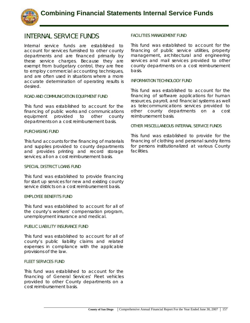

## **INTERNAL SERVICE FUNDS**

Internal service funds are established to account for services furnished to other county departments and are financed primarily by these service charges. Because they are exempt from budgetary control, they are free to employ commercial accounting techniques, and are often used in situations where a more accurate determination of operating results is desired.

## **ROAD AND COMMUNICATION EQUIPMENT FUND**

This fund was established to account for the financing of public works and communications equipment provided to other county departments on a cost reimbursement basis.

## **PURCHASING FUND**

This fund accounts for the financing of materials and supplies provided to county departments and provides printing and record storage services; all on a cost reimbursement basis.

## **SPECIAL DISTRICT LOANS FUND**

This fund was established to provide financing for start up services for new and existing county service districts on a cost reimbursement basis.

## **EMPLOYEE BENEFITS FUND**

This fund was established to account for all of the county's workers' compensation program, unemployment insurance and medical.

## **PUBLIC LIABILITY INSURANCE FUND**

This fund was established to account for all of county's public liability claims and related expenses in compliance with the applicable provisions of the law.

## **FLEET SERVICES FUND**

This fund was established to account for the financing of General Services' Fleet vehicles provided to other County departments on a cost reimbursement basis.

## **FACILITIES MANAGEMENT FUND**

This fund was established to account for the financing of public service utilities, property management, architectural and engineering services and mail services provided to other county departments on a cost reimbursement basis.

## **INFORMATION TECHNOLOGY FUND**

This fund was established to account for the financing of software applications for human resources, payroll, and financial systems as well as telecommunications services provided to other county departments on a cost reimbursement basis.

## **OTHER MISCELLANEOUS INTERNAL SERVICE FUNDS**

This fund was established to provide for the financing of clothing and personal sundry items for persons institutionalized at various County facilities.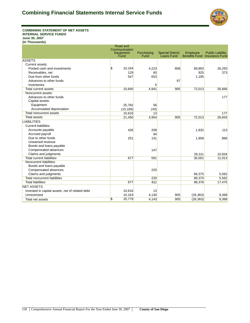

#### **COMBINING STATEMENT OF NET ASSETS INTERNAL SERVICE FUNDS June 30, 2007 (In Thousands)**

|                                                 | Road and<br>Communication |                    |                                       |           |                                                                |
|-------------------------------------------------|---------------------------|--------------------|---------------------------------------|-----------|----------------------------------------------------------------|
|                                                 | Equipment<br>Fund         | Purchasing<br>Fund | <b>Special District</b><br>Loans Fund | Employee  | <b>Public Liability</b><br><b>Benefits Fund Insurance Fund</b> |
| <b>ASSETS</b>                                   |                           |                    |                                       |           |                                                                |
| Current assets:                                 |                           |                    |                                       |           |                                                                |
| Pooled cash and investments                     | \$<br>10,164              | 4,223              | 808                                   | 69,893    | 26,293                                                         |
| Receivables, net                                | 129                       | 60                 |                                       | 925       | 373                                                            |
| Due from other funds                            | 547                       | 653                |                                       | 1,195     |                                                                |
| Advances to other funds                         |                           |                    | 97                                    |           |                                                                |
| Inventories                                     |                           | 5                  |                                       |           |                                                                |
| <b>Total current assets</b>                     | 10,840                    | 4,941              | 905                                   | 72,013    | 26,666                                                         |
| Noncurrent assets:                              |                           |                    |                                       |           |                                                                |
| Advances to other funds                         |                           |                    |                                       |           | 177                                                            |
| Capital assets:                                 |                           |                    |                                       |           |                                                                |
| Equipment                                       | 25,782                    | 56                 |                                       |           |                                                                |
| Accumulated depreciation                        | (15, 166)                 | (43)               |                                       |           |                                                                |
| Total noncurrent assets                         | 10,616                    | 13                 |                                       |           | 177                                                            |
| <b>Total assets</b>                             | 21,456                    | 4,954              | 905                                   | 72,013    | 26,843                                                         |
| <b>LIABILITIES</b>                              |                           |                    |                                       |           |                                                                |
| <b>Current liabilities:</b>                     |                           |                    |                                       |           |                                                                |
| Accounts payable                                | 426                       | 209                |                                       | 1,832     | 113                                                            |
| Accrued payroll                                 |                           | 94                 |                                       |           |                                                                |
| Due to other funds                              | 251                       | 141                |                                       | 1,858     | 866                                                            |
| Unearned revenue                                |                           |                    |                                       |           |                                                                |
| Bonds and loans payable                         |                           |                    |                                       |           |                                                                |
| Compensated absences                            |                           | 147                |                                       |           |                                                                |
| Claims and judgments                            |                           |                    |                                       | 26.311    | 10.934                                                         |
| <b>Total current liabilities</b>                | 677                       | 591                |                                       | 30,001    | 11,913                                                         |
| Noncurrent liabilities:                         |                           |                    |                                       |           |                                                                |
| Bonds and loans payable                         |                           |                    |                                       |           |                                                                |
| Compensated absences                            |                           | 220                |                                       |           |                                                                |
| Claims and judgments                            |                           |                    |                                       | 68,375    | 5,562                                                          |
| <b>Total noncurrent liabilities</b>             |                           | 220                |                                       | 68,375    | 5,562                                                          |
| <b>Total liabilities</b>                        | 677                       | 811                |                                       | 98,376    | 17,475                                                         |
| <b>NET ASSETS</b>                               |                           |                    |                                       |           |                                                                |
| Invested in capital assets, net of related debt | 10,616                    | 13                 |                                       |           |                                                                |
| Unrestricted                                    | 10,163                    | 4,130              | 905                                   | (26, 363) | 9,368                                                          |
| Total net assets                                | 20,779<br>\$              | 4,143              | 905                                   | (26, 363) | 9,368                                                          |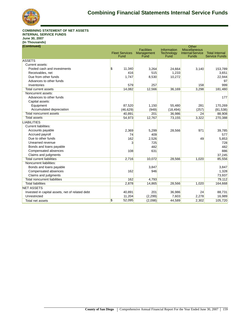

**COMBINING STATEMENT OF NET ASSETS INTERNAL SERVICE FUNDS June 30, 2007 (In Thousands) (Continued)**

| <b>Facilities</b><br><b>Miscellaneous</b><br>Information<br><b>Fleet Services</b><br><b>Internal Service</b><br><b>Total Internal</b><br>Technology<br>Management<br><b>Service Funds</b><br>Fund<br>Fund<br>Funds<br>Fund<br><b>ASSETS</b><br>Current assets:<br>$\mathbf{\hat{s}}$<br>11,340<br>Pooled cash and investments<br>3,140<br>3,264<br>24,664<br>Receivables, net<br>416<br>515<br>1,233<br>Due from other funds<br>10,272<br>1,747<br>8,530<br>Advances to other funds<br>579<br>257<br>158<br>Inventories<br>14,082<br>12,566<br>3,298<br><b>Total current assets</b><br>36,169<br>Noncurrent assets:<br>Advances to other funds<br>177<br>Capital assets:<br>Equipment<br>87.520<br>1,150<br>281<br>55,480<br>Accumulated depreciation<br>(46, 629)<br>(949)<br>(257)<br>(18, 494)<br><b>Total noncurrent assets</b><br>40,891<br>201<br>36,986<br>24<br><b>Total assets</b><br>54,973<br>12,767<br>3,322<br>73,155<br><b>LIABILITIES</b><br><b>Current liabilities:</b><br>2,369<br>Accounts payable<br>5,299<br>28,566<br>971<br>Accrued payroll<br>409<br>74<br>Due to other funds<br>162<br>2,526<br>49<br>Unearned revenue<br>3<br>725<br>482<br>Bonds and loans payable<br>Compensated absences<br>631<br>886<br>108<br>Claims and judgments<br><b>Total current liabilities</b><br>85,556<br>2,716<br>10,072<br>28,566<br>1,020<br>Noncurrent liabilities:<br>Bonds and loans payable<br>3,847<br>3,847<br>Compensated absences<br>162<br>946<br>1,328<br>Claims and judgments<br>73,937<br><b>Total noncurrent liabilities</b><br>162<br>4,793<br>79,112<br><b>Total liabilities</b><br>2,878<br>1,020<br>14,865<br>28,566<br>164,668<br><b>NET ASSETS</b><br>Invested in capital assets, net of related debt<br>40,891<br>201<br>36,986<br>24<br>Unrestricted<br>(2, 299)<br>2,278<br>11,204<br>7,603<br>52,095<br>$\boldsymbol{\mathsf{s}}$<br>44,589<br>(2,098)<br>2,302<br>Total net assets | (Continued) |  | Other |           |
|------------------------------------------------------------------------------------------------------------------------------------------------------------------------------------------------------------------------------------------------------------------------------------------------------------------------------------------------------------------------------------------------------------------------------------------------------------------------------------------------------------------------------------------------------------------------------------------------------------------------------------------------------------------------------------------------------------------------------------------------------------------------------------------------------------------------------------------------------------------------------------------------------------------------------------------------------------------------------------------------------------------------------------------------------------------------------------------------------------------------------------------------------------------------------------------------------------------------------------------------------------------------------------------------------------------------------------------------------------------------------------------------------------------------------------------------------------------------------------------------------------------------------------------------------------------------------------------------------------------------------------------------------------------------------------------------------------------------------------------------------------------------------------------------------------------------------------------------------------------------------------------------------------------------|-------------|--|-------|-----------|
|                                                                                                                                                                                                                                                                                                                                                                                                                                                                                                                                                                                                                                                                                                                                                                                                                                                                                                                                                                                                                                                                                                                                                                                                                                                                                                                                                                                                                                                                                                                                                                                                                                                                                                                                                                                                                                                                                                                        |             |  |       |           |
|                                                                                                                                                                                                                                                                                                                                                                                                                                                                                                                                                                                                                                                                                                                                                                                                                                                                                                                                                                                                                                                                                                                                                                                                                                                                                                                                                                                                                                                                                                                                                                                                                                                                                                                                                                                                                                                                                                                        |             |  |       |           |
|                                                                                                                                                                                                                                                                                                                                                                                                                                                                                                                                                                                                                                                                                                                                                                                                                                                                                                                                                                                                                                                                                                                                                                                                                                                                                                                                                                                                                                                                                                                                                                                                                                                                                                                                                                                                                                                                                                                        |             |  |       |           |
|                                                                                                                                                                                                                                                                                                                                                                                                                                                                                                                                                                                                                                                                                                                                                                                                                                                                                                                                                                                                                                                                                                                                                                                                                                                                                                                                                                                                                                                                                                                                                                                                                                                                                                                                                                                                                                                                                                                        |             |  |       |           |
|                                                                                                                                                                                                                                                                                                                                                                                                                                                                                                                                                                                                                                                                                                                                                                                                                                                                                                                                                                                                                                                                                                                                                                                                                                                                                                                                                                                                                                                                                                                                                                                                                                                                                                                                                                                                                                                                                                                        |             |  |       | 153,789   |
|                                                                                                                                                                                                                                                                                                                                                                                                                                                                                                                                                                                                                                                                                                                                                                                                                                                                                                                                                                                                                                                                                                                                                                                                                                                                                                                                                                                                                                                                                                                                                                                                                                                                                                                                                                                                                                                                                                                        |             |  |       | 3,651     |
|                                                                                                                                                                                                                                                                                                                                                                                                                                                                                                                                                                                                                                                                                                                                                                                                                                                                                                                                                                                                                                                                                                                                                                                                                                                                                                                                                                                                                                                                                                                                                                                                                                                                                                                                                                                                                                                                                                                        |             |  |       | 22,944    |
|                                                                                                                                                                                                                                                                                                                                                                                                                                                                                                                                                                                                                                                                                                                                                                                                                                                                                                                                                                                                                                                                                                                                                                                                                                                                                                                                                                                                                                                                                                                                                                                                                                                                                                                                                                                                                                                                                                                        |             |  |       | 97        |
|                                                                                                                                                                                                                                                                                                                                                                                                                                                                                                                                                                                                                                                                                                                                                                                                                                                                                                                                                                                                                                                                                                                                                                                                                                                                                                                                                                                                                                                                                                                                                                                                                                                                                                                                                                                                                                                                                                                        |             |  |       | 999       |
|                                                                                                                                                                                                                                                                                                                                                                                                                                                                                                                                                                                                                                                                                                                                                                                                                                                                                                                                                                                                                                                                                                                                                                                                                                                                                                                                                                                                                                                                                                                                                                                                                                                                                                                                                                                                                                                                                                                        |             |  |       | 181,480   |
|                                                                                                                                                                                                                                                                                                                                                                                                                                                                                                                                                                                                                                                                                                                                                                                                                                                                                                                                                                                                                                                                                                                                                                                                                                                                                                                                                                                                                                                                                                                                                                                                                                                                                                                                                                                                                                                                                                                        |             |  |       |           |
|                                                                                                                                                                                                                                                                                                                                                                                                                                                                                                                                                                                                                                                                                                                                                                                                                                                                                                                                                                                                                                                                                                                                                                                                                                                                                                                                                                                                                                                                                                                                                                                                                                                                                                                                                                                                                                                                                                                        |             |  |       |           |
|                                                                                                                                                                                                                                                                                                                                                                                                                                                                                                                                                                                                                                                                                                                                                                                                                                                                                                                                                                                                                                                                                                                                                                                                                                                                                                                                                                                                                                                                                                                                                                                                                                                                                                                                                                                                                                                                                                                        |             |  |       |           |
|                                                                                                                                                                                                                                                                                                                                                                                                                                                                                                                                                                                                                                                                                                                                                                                                                                                                                                                                                                                                                                                                                                                                                                                                                                                                                                                                                                                                                                                                                                                                                                                                                                                                                                                                                                                                                                                                                                                        |             |  |       | 170,269   |
|                                                                                                                                                                                                                                                                                                                                                                                                                                                                                                                                                                                                                                                                                                                                                                                                                                                                                                                                                                                                                                                                                                                                                                                                                                                                                                                                                                                                                                                                                                                                                                                                                                                                                                                                                                                                                                                                                                                        |             |  |       | (81, 538) |
|                                                                                                                                                                                                                                                                                                                                                                                                                                                                                                                                                                                                                                                                                                                                                                                                                                                                                                                                                                                                                                                                                                                                                                                                                                                                                                                                                                                                                                                                                                                                                                                                                                                                                                                                                                                                                                                                                                                        |             |  |       | 88,908    |
|                                                                                                                                                                                                                                                                                                                                                                                                                                                                                                                                                                                                                                                                                                                                                                                                                                                                                                                                                                                                                                                                                                                                                                                                                                                                                                                                                                                                                                                                                                                                                                                                                                                                                                                                                                                                                                                                                                                        |             |  |       | 270,388   |
|                                                                                                                                                                                                                                                                                                                                                                                                                                                                                                                                                                                                                                                                                                                                                                                                                                                                                                                                                                                                                                                                                                                                                                                                                                                                                                                                                                                                                                                                                                                                                                                                                                                                                                                                                                                                                                                                                                                        |             |  |       |           |
|                                                                                                                                                                                                                                                                                                                                                                                                                                                                                                                                                                                                                                                                                                                                                                                                                                                                                                                                                                                                                                                                                                                                                                                                                                                                                                                                                                                                                                                                                                                                                                                                                                                                                                                                                                                                                                                                                                                        |             |  |       |           |
|                                                                                                                                                                                                                                                                                                                                                                                                                                                                                                                                                                                                                                                                                                                                                                                                                                                                                                                                                                                                                                                                                                                                                                                                                                                                                                                                                                                                                                                                                                                                                                                                                                                                                                                                                                                                                                                                                                                        |             |  |       | 39,785    |
|                                                                                                                                                                                                                                                                                                                                                                                                                                                                                                                                                                                                                                                                                                                                                                                                                                                                                                                                                                                                                                                                                                                                                                                                                                                                                                                                                                                                                                                                                                                                                                                                                                                                                                                                                                                                                                                                                                                        |             |  |       | 577       |
|                                                                                                                                                                                                                                                                                                                                                                                                                                                                                                                                                                                                                                                                                                                                                                                                                                                                                                                                                                                                                                                                                                                                                                                                                                                                                                                                                                                                                                                                                                                                                                                                                                                                                                                                                                                                                                                                                                                        |             |  |       | 5,853     |
|                                                                                                                                                                                                                                                                                                                                                                                                                                                                                                                                                                                                                                                                                                                                                                                                                                                                                                                                                                                                                                                                                                                                                                                                                                                                                                                                                                                                                                                                                                                                                                                                                                                                                                                                                                                                                                                                                                                        |             |  |       | 728       |
|                                                                                                                                                                                                                                                                                                                                                                                                                                                                                                                                                                                                                                                                                                                                                                                                                                                                                                                                                                                                                                                                                                                                                                                                                                                                                                                                                                                                                                                                                                                                                                                                                                                                                                                                                                                                                                                                                                                        |             |  |       | 482       |
|                                                                                                                                                                                                                                                                                                                                                                                                                                                                                                                                                                                                                                                                                                                                                                                                                                                                                                                                                                                                                                                                                                                                                                                                                                                                                                                                                                                                                                                                                                                                                                                                                                                                                                                                                                                                                                                                                                                        |             |  |       |           |
|                                                                                                                                                                                                                                                                                                                                                                                                                                                                                                                                                                                                                                                                                                                                                                                                                                                                                                                                                                                                                                                                                                                                                                                                                                                                                                                                                                                                                                                                                                                                                                                                                                                                                                                                                                                                                                                                                                                        |             |  |       | 37,245    |
|                                                                                                                                                                                                                                                                                                                                                                                                                                                                                                                                                                                                                                                                                                                                                                                                                                                                                                                                                                                                                                                                                                                                                                                                                                                                                                                                                                                                                                                                                                                                                                                                                                                                                                                                                                                                                                                                                                                        |             |  |       |           |
|                                                                                                                                                                                                                                                                                                                                                                                                                                                                                                                                                                                                                                                                                                                                                                                                                                                                                                                                                                                                                                                                                                                                                                                                                                                                                                                                                                                                                                                                                                                                                                                                                                                                                                                                                                                                                                                                                                                        |             |  |       |           |
|                                                                                                                                                                                                                                                                                                                                                                                                                                                                                                                                                                                                                                                                                                                                                                                                                                                                                                                                                                                                                                                                                                                                                                                                                                                                                                                                                                                                                                                                                                                                                                                                                                                                                                                                                                                                                                                                                                                        |             |  |       |           |
|                                                                                                                                                                                                                                                                                                                                                                                                                                                                                                                                                                                                                                                                                                                                                                                                                                                                                                                                                                                                                                                                                                                                                                                                                                                                                                                                                                                                                                                                                                                                                                                                                                                                                                                                                                                                                                                                                                                        |             |  |       |           |
|                                                                                                                                                                                                                                                                                                                                                                                                                                                                                                                                                                                                                                                                                                                                                                                                                                                                                                                                                                                                                                                                                                                                                                                                                                                                                                                                                                                                                                                                                                                                                                                                                                                                                                                                                                                                                                                                                                                        |             |  |       |           |
|                                                                                                                                                                                                                                                                                                                                                                                                                                                                                                                                                                                                                                                                                                                                                                                                                                                                                                                                                                                                                                                                                                                                                                                                                                                                                                                                                                                                                                                                                                                                                                                                                                                                                                                                                                                                                                                                                                                        |             |  |       |           |
|                                                                                                                                                                                                                                                                                                                                                                                                                                                                                                                                                                                                                                                                                                                                                                                                                                                                                                                                                                                                                                                                                                                                                                                                                                                                                                                                                                                                                                                                                                                                                                                                                                                                                                                                                                                                                                                                                                                        |             |  |       |           |
|                                                                                                                                                                                                                                                                                                                                                                                                                                                                                                                                                                                                                                                                                                                                                                                                                                                                                                                                                                                                                                                                                                                                                                                                                                                                                                                                                                                                                                                                                                                                                                                                                                                                                                                                                                                                                                                                                                                        |             |  |       |           |
|                                                                                                                                                                                                                                                                                                                                                                                                                                                                                                                                                                                                                                                                                                                                                                                                                                                                                                                                                                                                                                                                                                                                                                                                                                                                                                                                                                                                                                                                                                                                                                                                                                                                                                                                                                                                                                                                                                                        |             |  |       | 88,731    |
|                                                                                                                                                                                                                                                                                                                                                                                                                                                                                                                                                                                                                                                                                                                                                                                                                                                                                                                                                                                                                                                                                                                                                                                                                                                                                                                                                                                                                                                                                                                                                                                                                                                                                                                                                                                                                                                                                                                        |             |  |       | 16,989    |
|                                                                                                                                                                                                                                                                                                                                                                                                                                                                                                                                                                                                                                                                                                                                                                                                                                                                                                                                                                                                                                                                                                                                                                                                                                                                                                                                                                                                                                                                                                                                                                                                                                                                                                                                                                                                                                                                                                                        |             |  |       | 105,720   |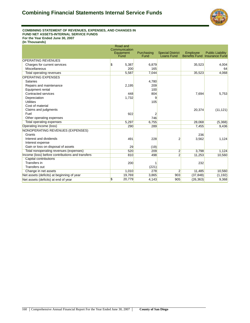

### Combining Statement of Revenues, Expenses, and Changes in Fund Net Assets - Internal Service Funds - Internal Service Funds **COMBINING STATEMENT OF REVENUES, EXPENSES, AND CHANGES IN FUND NET ASSETS-INTERNAL SERVICE FUNDS For the Year Ended June 30, 2007**

|                                                  | Road and<br>Communication<br>Equipment<br>Fund | Purchasing<br>Fund | <b>Special District</b><br>Loans Fund | Employee  | <b>Public Liability</b><br><b>Benefits Fund Insurance Fund</b> |
|--------------------------------------------------|------------------------------------------------|--------------------|---------------------------------------|-----------|----------------------------------------------------------------|
| <b>OPERATING REVENUES</b>                        |                                                |                    |                                       |           |                                                                |
| Charges for current services                     | \$<br>5,387                                    | 6,879              |                                       | 35,523    | 4,004                                                          |
| Miscellaneous                                    | 200                                            | 165                |                                       |           | 64                                                             |
| <b>Total operating revenues</b>                  | 5,587                                          | 7,044              |                                       | 35,523    | 4,068                                                          |
| <b>OPERATING EXPENSES</b>                        |                                                |                    |                                       |           |                                                                |
| <b>Salaries</b>                                  |                                                | 4,780              |                                       |           |                                                                |
| Repairs and maintenance                          | 2,195                                          | 209                |                                       |           |                                                                |
| Equipment rental                                 |                                                | 100                |                                       |           |                                                                |
| Contracted services                              | 448                                            | 804                |                                       | 7,694     | 5,753                                                          |
| Depreciation                                     | 1,732                                          | 9                  |                                       |           |                                                                |
| <b>Utilities</b>                                 |                                                | 105                |                                       |           |                                                                |
| Cost of material                                 |                                                |                    |                                       |           |                                                                |
| Claims and judgments                             |                                                |                    |                                       | 20,374    | (11, 121)                                                      |
| Fuel                                             | 922                                            | 2                  |                                       |           |                                                                |
| Other operating expenses                         |                                                | 746                |                                       |           |                                                                |
| <b>Total operating expenses</b>                  | 5,297                                          | 6,755              |                                       | 28,068    | (5,368)                                                        |
| Operating income (loss)                          | 290                                            | 289                |                                       | 7,455     | 9,436                                                          |
| NONOPERATING REVENUES (EXPENSES)                 |                                                |                    |                                       |           |                                                                |
| Grants                                           |                                                |                    |                                       | 236       |                                                                |
| Interest and dividends                           | 491                                            | 228                | 2                                     | 3,562     | 1,124                                                          |
| Interest expense                                 |                                                |                    |                                       |           |                                                                |
| Gain or loss on disposal of assets               | 29                                             | (19)               |                                       |           |                                                                |
| Total nonoperating revenues (expenses)           | 520                                            | 209                | $\overline{2}$                        | 3,798     | 1,124                                                          |
| Income (loss) before contributions and transfers | 810                                            | 498                | $\overline{2}$                        | 11,253    | 10,560                                                         |
| <b>Capital contributions</b>                     |                                                |                    |                                       |           |                                                                |
| Transfers in                                     | 200                                            |                    |                                       | 232       |                                                                |
| Transfers out                                    |                                                | (221)              |                                       |           |                                                                |
| Change in net assets                             | 1,010                                          | 278                | $\overline{2}$                        | 11,485    | 10,560                                                         |
| Net assets (deficits) at beginning of year       | 19,769                                         | 3,865              | 903                                   | (37, 848) | (1, 192)                                                       |
| Net assets (deficits) at end of year             | \$<br>20,779                                   | 4,143              | 905                                   | (26, 363) | 9,368                                                          |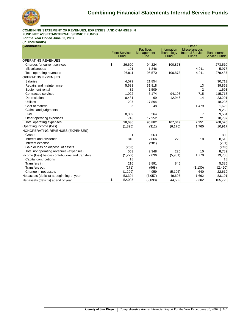

#### **COMBINING STATEMENT OF REVENUES, EXPENSES, AND CHANGES IN FUND NET ASSETS-INTERNAL SERVICE FUNDS For the Year Ended June 30, 2007**

| (Continued)                                      |                       |                    |                           | Other                                           |                       |
|--------------------------------------------------|-----------------------|--------------------|---------------------------|-------------------------------------------------|-----------------------|
|                                                  | <b>Fleet Services</b> | <b>Facilities</b>  | Information               | <b>Miscellaneous</b><br><b>Internal Service</b> | <b>Total Internal</b> |
|                                                  | Fund                  | Management<br>Fund | <b>Technology</b><br>Fund | <b>Funds</b>                                    | <b>Service Funds</b>  |
| <b>OPERATING REVENUES</b>                        |                       |                    |                           |                                                 |                       |
| Charges for current services                     | \$<br>26,620          | 94,224             | 100,873                   |                                                 | 273,510               |
| Miscellaneous                                    | 191                   | 1,346              |                           | 4,011                                           | 5,977                 |
| <b>Total operating revenues</b>                  | 26,811                | 95,570             | 100,873                   | 4,011                                           | 279,487               |
| <b>OPERATING EXPENSES</b>                        |                       |                    |                           |                                                 |                       |
| <b>Salaries</b>                                  | 4,079                 | 21,854             |                           |                                                 | 30,713                |
| Repairs and maintenance                          | 5,633                 | 31,818             |                           | 13                                              | 39,868                |
| Equipment rental                                 | 82                    | 1,509              |                           |                                                 | 1,693                 |
| Contracted services                              | 1,022                 | 5,174              | 94,103                    | 715                                             | 115,713               |
| Depreciation                                     | 8,431                 | 69                 | 12,946                    | 14                                              | 23,201                |
| <b>Utilities</b>                                 | 237                   | 17,894             |                           |                                                 | 18,236                |
| Cost of material                                 | 95                    | 48                 |                           | 1,479                                           | 1,622                 |
| Claims and judgments                             |                       |                    |                           |                                                 | 9,253                 |
| Fuel                                             | 8,339                 | 264                |                           | 7                                               | 9,534                 |
| Other operating expenses                         | 718                   | 17,252             |                           | 21                                              | 18,737                |
| Total operating expenses                         | 28,636                | 95,882             | 107,049                   | 2,251                                           | 268,570               |
| Operating income (loss)                          | (1,825)               | (312)              | (6, 176)                  | 1,760                                           | 10,917                |
| NONOPERATING REVENUES (EXPENSES)                 |                       |                    |                           |                                                 |                       |
| Grants                                           |                       | 563                |                           |                                                 | 800                   |
| Interest and dividends                           | 810                   | 2,066              | 225                       | 10                                              | 8,518                 |
| Interest expense                                 |                       | (281)              |                           |                                                 | (281)                 |
| Gain or loss on disposal of assets               | (258)                 |                    |                           |                                                 | (248)                 |
| Total nonoperating revenues (expenses)           | 553                   | 2,348              | 225                       | 10                                              | 8,789                 |
| Income (loss) before contributions and transfers | (1, 272)              | 2,036              | (5,951)                   | 1,770                                           | 19,706                |
| <b>Capital contributions</b>                     | 18                    |                    |                           |                                                 | 18                    |
| Transfers in                                     | 216                   | 3,891              | 845                       |                                                 | 5,385                 |
| <b>Transfers out</b>                             | (171)                 | (968)              |                           | (1, 130)                                        | (2, 490)              |
| Change in net assets                             | (1,209)               | 4,959              | (5, 106)                  | 640                                             | 22,619                |
| Net assets (deficits) at beginning of year       | 53,304                | (7,057)            | 49,695                    | 1,662                                           | 83,101                |
| Net assets (deficits) at end of year             | 1\$<br>52,095         | (2,098)            | 44,589                    | 2,302                                           | 105,720               |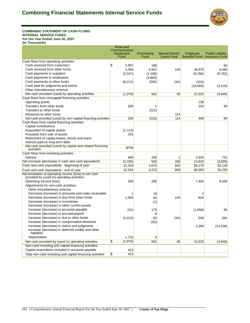

#### Combining Statement of Cash Flows - Internal Service Funds 3 **COMBINING STATEMENT OF CASH FLOWS INTERNAL SERVICE FUNDS For the Year Ended June 30, 2007**

|                                                                                                      | Road and                         |            |                         |           |                                     |
|------------------------------------------------------------------------------------------------------|----------------------------------|------------|-------------------------|-----------|-------------------------------------|
|                                                                                                      | Communication<br>Equipment       | Purchasing | <b>Special District</b> | Employee  | <b>Public Liability</b>             |
|                                                                                                      | Fund                             | Fund       | Loans Fund              |           | <b>Benefits Fund Insurance Fund</b> |
| Cash flows from operating activities:                                                                |                                  |            |                         |           |                                     |
| Cash received from customers                                                                         | <sup>\$</sup><br>5.587           | 186        |                         |           | 64                                  |
| Cash received from other funds                                                                       | 1,056                            | 6,942      | 140                     | 36.876    | 4,490                               |
| Cash payments to suppliers                                                                           | (2,547)                          | (1, 108)   |                         | (9, 256)  | (5,782)                             |
| Cash payments to employees                                                                           |                                  | (4,863)    |                         |           |                                     |
| Cash payments to other funds                                                                         | (6,072)                          | (595)      | (50)                    | (115)     |                                     |
| Cash paid for judgments and claims                                                                   |                                  |            |                         | (16, 985) | (3, 418)                            |
| Other miscellaneous revenue                                                                          |                                  |            |                         |           |                                     |
| Net cash provided (used) by operating activities                                                     | (1,976)                          | 562        | 90                      | 10,520    | (4,646)                             |
| Cash flows from noncapital financing activities:                                                     |                                  |            |                         |           |                                     |
| Operating grants                                                                                     |                                  |            |                         | 236       |                                     |
| Transfers from other funds                                                                           | 200                              | 1          |                         | 232       | 60                                  |
| Transfers to other funds                                                                             |                                  | (221)      |                         |           |                                     |
| Advances to other funds                                                                              |                                  |            | 114                     |           |                                     |
| Net cash provided (used) by non-capital financing activities                                         | 200                              | (220)      | 114                     | 468       | 60                                  |
| Cash flows from capital financing activities:                                                        |                                  |            |                         |           |                                     |
| Capital contributions                                                                                |                                  |            |                         |           |                                     |
| Acquisition of capital assets                                                                        | (1, 123)                         |            |                         |           |                                     |
| Proceeds from sale of assets                                                                         | 245                              |            |                         |           |                                     |
| Retirement of capital leases, bonds and loans                                                        |                                  |            |                         |           |                                     |
| Interest paid on long-term debt                                                                      |                                  |            |                         |           |                                     |
| Net cash provided (used) by capital and related financing<br>activities                              | (878)                            |            |                         |           |                                     |
| Cash flows from investing activities:                                                                |                                  |            |                         |           |                                     |
| Interest                                                                                             | 489                              | 208        | $\overline{2}$          | 2,635     | 751                                 |
| Net increase (decrease) in cash and cash equivalents                                                 | (2, 165)                         | 550        | 206                     | 13.623    | (3,835)                             |
| Cash and cash equivalents - beginning of year                                                        | 12,329                           | 3,673      | 602                     | 56,270    | 30,128                              |
| Cash and cash equivalents - end of year                                                              | 10,164                           | 4,223      | 808                     | 69,893    | 26,293                              |
| Reconciliation of operating income (loss) to net cash<br>provided by (used in) operating activities: |                                  |            |                         |           |                                     |
| Operating income (loss)                                                                              | 290                              | 289        |                         | 7,455     | 9,436                               |
| Adjustments for non-cash activities:                                                                 |                                  |            |                         |           |                                     |
| Other miscellaneous revenue                                                                          |                                  |            |                         |           |                                     |
| Decrease (increase) in accounts and notes receivable                                                 |                                  | 18         |                         | 2         |                                     |
| Decrease (increase) in due from other funds                                                          | 1,055                            | 64         | 140                     | 824       |                                     |
| Decrease (increase) in Inventories                                                                   |                                  | (1)        |                         |           |                                     |
| Decrease (increase) in other current assets                                                          |                                  |            |                         |           |                                     |
| Increase (decrease) in accounts payable                                                              | (41)                             | 175        |                         | (1,658)   | 66                                  |
| Increase (decrease) in accrued payroll                                                               |                                  | 8          |                         |           |                                     |
| Increase (decrease) in due to other funds                                                            | (5,013)                          | 82         | (50)                    | 508       | 391                                 |
| Increase (decrease) in compensated absences                                                          |                                  | (82)       |                         |           |                                     |
| Increase (decrease) in claims and judgments                                                          |                                  |            |                         | 3,389     | (14, 539)                           |
| Increase (decrease) in deferred credits and other<br>liabilities                                     |                                  |            |                         |           |                                     |
| Depreciation                                                                                         | 1,732                            | 9          |                         |           |                                     |
| Net cash provided by (used in) operating activities                                                  | $\sqrt{3}$<br>(1,976)            | 562        | 90                      | 10,520    | (4,646)                             |
| Non-cash investing and capital financing activities:                                                 |                                  |            |                         |           |                                     |
| Capital acquisitions included in accounts payable                                                    | 423                              |            |                         |           |                                     |
| Total non-cash investing and capital financing activities                                            | $\boldsymbol{\mathsf{s}}$<br>423 |            |                         |           |                                     |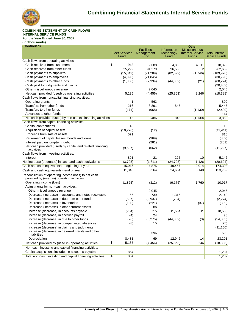

#### **COMBINING STATEMENT OF CASH FLOWS INTERNAL SERVICE FUNDS For the Year Ended June 30, 2007 (In Thousands)**

| (Continued)                                                                                          |                                    |                                         |                                                 | Other                                                           |                                               |
|------------------------------------------------------------------------------------------------------|------------------------------------|-----------------------------------------|-------------------------------------------------|-----------------------------------------------------------------|-----------------------------------------------|
|                                                                                                      | <b>Fleet Services</b><br>Fund      | <b>Facilities</b><br>Management<br>Fund | <b>Information</b><br><b>Technology</b><br>Fund | <b>Miscellaneous</b><br><b>Internal Service</b><br><b>Funds</b> | <b>Total Internal</b><br><b>Service Funds</b> |
| Cash flows from operating activities:                                                                |                                    |                                         |                                                 |                                                                 |                                               |
| Cash received from customers                                                                         | $\boldsymbol{\mathsf{s}}$<br>943   | 2,688                                   | 4,850                                           | 4,011                                                           | 18,329                                        |
| Cash received from other funds                                                                       | 25,299                             | 91,279                                  | 96,555                                          | $\overline{2}$                                                  | 262,639                                       |
| Cash payments to suppliers                                                                           | (15, 649)                          | (71, 289)                               | (82, 599)                                       | (1,746)                                                         | (189, 976)                                    |
| Cash payments to employees                                                                           | (4,090)                            | (21, 845)                               |                                                 |                                                                 | (30, 798)                                     |
| Cash payments to other funds                                                                         | (1,368)                            | (7, 334)                                | (44, 669)                                       | (21)                                                            | (60, 224)                                     |
| Cash paid for judgments and claims                                                                   |                                    |                                         |                                                 |                                                                 | (20, 403)                                     |
| Other miscellaneous revenue                                                                          |                                    | 2,045                                   |                                                 |                                                                 | 2,045                                         |
| Net cash provided (used) by operating activities                                                     | 5,135                              | (4, 456)                                | (25, 863)                                       | 2,246                                                           | (18, 388)                                     |
| Cash flows from noncapital financing activities:                                                     |                                    |                                         |                                                 |                                                                 |                                               |
| Operating grants                                                                                     | 1                                  | 563                                     |                                                 |                                                                 | 800                                           |
| Transfers from other funds                                                                           | 216                                | 3,891                                   | 845                                             |                                                                 | 5,445                                         |
| Transfers to other funds                                                                             | (171)                              | (968)                                   |                                                 | (1, 130)                                                        | (2, 490)                                      |
| Advances to other funds                                                                              |                                    |                                         |                                                 |                                                                 | 114                                           |
| Net cash provided (used) by non-capital financing activities                                         | 46                                 | 3,486                                   | 845                                             | (1, 130)                                                        | 3,869                                         |
| Cash flows from capital financing activities:                                                        |                                    |                                         |                                                 |                                                                 |                                               |
| Capital contributions                                                                                | 18                                 |                                         |                                                 |                                                                 | 18                                            |
| Acquisition of capital assets                                                                        | (10, 276)                          | (12)                                    |                                                 |                                                                 | (11, 411)                                     |
| Proceeds from sale of assets                                                                         | 571                                |                                         |                                                 |                                                                 | 816                                           |
| Retirement of capital leases, bonds and loans                                                        |                                    | (369)                                   |                                                 |                                                                 | (369)                                         |
| Interest paid on long-term debt                                                                      |                                    | (281)                                   |                                                 |                                                                 | (281)                                         |
| Net cash provided (used) by capital and related financing<br>activities                              | (9,687)                            | (662)                                   |                                                 |                                                                 | (11, 227)                                     |
| Cash flows from investing activities:                                                                |                                    |                                         |                                                 |                                                                 |                                               |
| Interest                                                                                             | 801                                | 21                                      | 225                                             | 10                                                              | 5,142                                         |
| Net increase (decrease) in cash and cash equivalents                                                 | (3,705)                            | (1,611)                                 | (24, 793)                                       | 1,126                                                           | (20,604)                                      |
| Cash and cash equivalents - beginning of year                                                        | 15,045                             | 4,875                                   | 49,457                                          | 2,014                                                           | 174,393                                       |
| Cash and cash equivalents - end of year                                                              | 11,340                             | 3,264                                   | 24,664                                          | 3,140                                                           | 153,789                                       |
| Reconciliation of operating income (loss) to net cash<br>provided by (used in) operating activities: |                                    |                                         |                                                 |                                                                 |                                               |
| Operating income (loss)                                                                              | (1,825)                            | (312)                                   | (6, 176)                                        | 1,760                                                           | 10,917                                        |
| Adjustments for non-cash activities:                                                                 |                                    |                                         |                                                 |                                                                 |                                               |
| Other miscellaneous revenue                                                                          |                                    | 2,045                                   |                                                 |                                                                 | 2,045                                         |
| Decrease (increase) in accounts and notes receivable                                                 | 66                                 | 739                                     | 1,316                                           |                                                                 | 2,142                                         |
| Decrease (increase) in due from other funds                                                          | (637)                              | (2,937)                                 | (784)                                           |                                                                 | (2, 274)                                      |
| Decrease (increase) in Inventories                                                                   | (100)                              | (221)                                   |                                                 | (37)                                                            | (359)                                         |
| Decrease (increase) in other current assets                                                          |                                    | 86                                      |                                                 |                                                                 | 86                                            |
| Increase (decrease) in accounts payable                                                              | (764)                              | 715                                     | 11,504                                          | 511                                                             | 10,508                                        |
| Increase (decrease) in accrued payroll                                                               | (4)                                | 24                                      |                                                 |                                                                 | 28                                            |
| Increase (decrease) in due to other funds                                                            | (26)                               | (5,275)                                 | (44, 669)                                       | (3)                                                             | (54, 055)                                     |
| Increase (decrease) in compensated absences                                                          | (8)                                | 15                                      |                                                 |                                                                 | (75)                                          |
| Increase (decrease) in claims and judgments                                                          |                                    |                                         |                                                 |                                                                 | (11, 150)                                     |
| Increase (decrease) in deferred credits and other<br>liabilities                                     | $\overline{\mathbf{c}}$            | 596                                     |                                                 |                                                                 | 598                                           |
| Depreciation                                                                                         | 8,431                              | 69                                      | 12,946                                          | 14                                                              | 23,201                                        |
| Net cash provided by (used in) operating activities                                                  | $\boldsymbol{\mathsf{s}}$<br>5,135 | (4, 456)                                | (25, 863)                                       | 2,246                                                           | (18, 388)                                     |
| Non-cash investing and capital financing activities:                                                 |                                    |                                         |                                                 |                                                                 |                                               |
| Capital acquisitions included in accounts payable                                                    | 864                                |                                         |                                                 |                                                                 | 1,287                                         |
| Total non-cash investing and capital financing activities                                            | 864<br>\$                          |                                         |                                                 |                                                                 | 1,287                                         |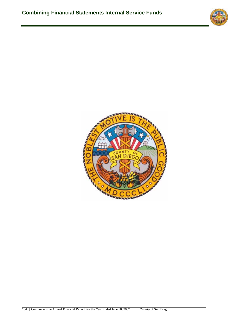

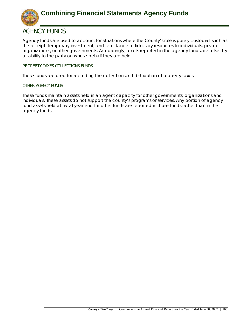

## **AGENCY FUNDS**

Agency funds are used to account for situations where the County's role is purely custodial, such as the receipt, temporary investment, and remittance of fiduciary resources to individuals, private organizations, or other governments. Accordingly, assets reported in the agency funds are offset by a liability to the party on whose behalf they are held.

## **PROPERTY TAXES COLLECTIONS FUNDS**

These funds are used for recording the collection and distribution of property taxes.

## **OTHER AGENCY FUNDS**

These funds maintain assets held in an agent capacity for other governments, organizations and individuals. These assets do not support the county's programs or services. Any portion of agency fund assets held at fiscal year end for other funds are reported in those funds rather than in the agency funds.